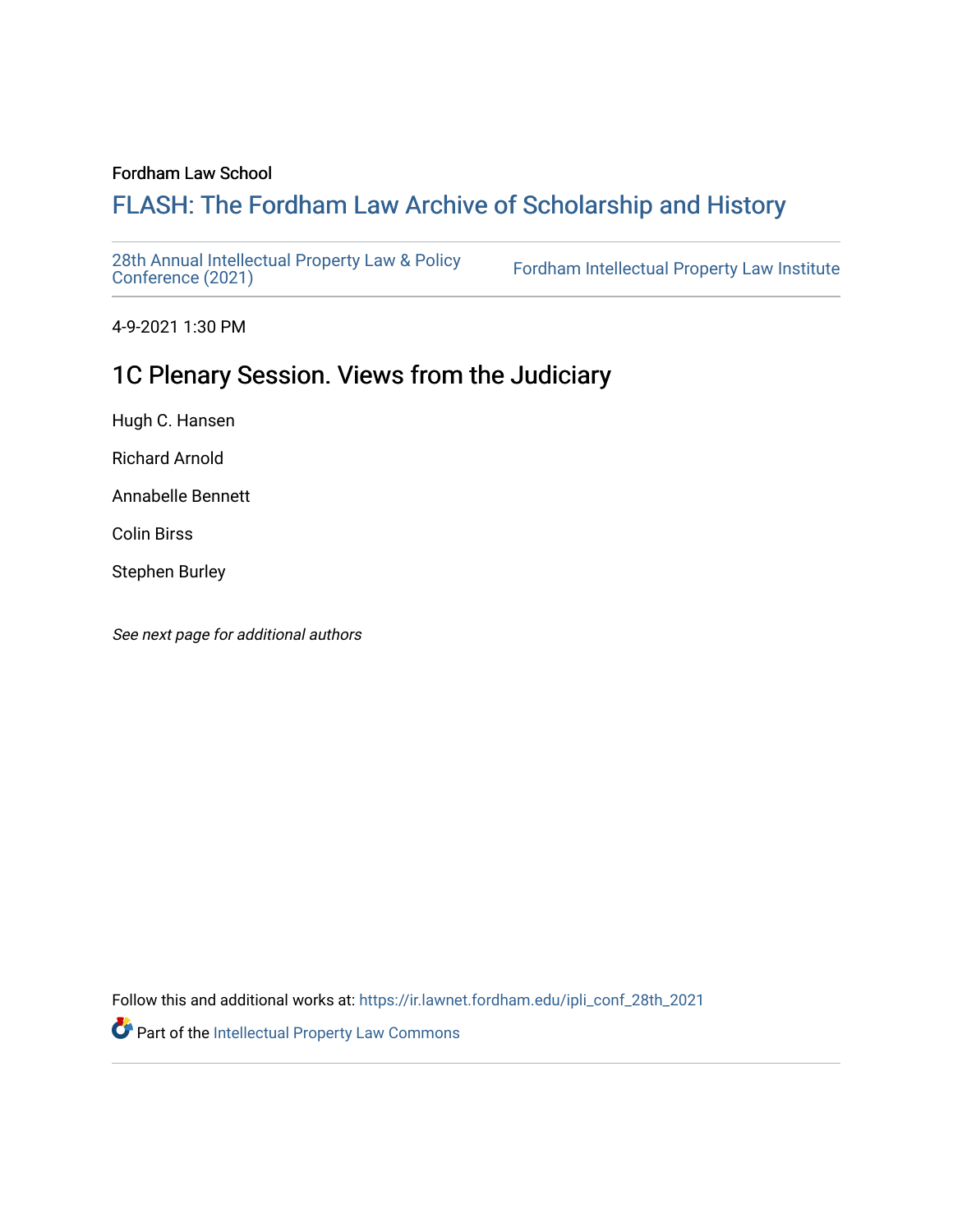## Fordham Law School

# FLASH: The For[dham Law Archive of Scholarship and Hist](https://ir.lawnet.fordham.edu/)ory

[28th Annual Intellectual Property Law & Policy](https://ir.lawnet.fordham.edu/ipli_conf_28th_2021)<br>Conference (2021)

Fordham Intellectual Property Law Institute

4-9-2021 1:30 PM

## 1C Plenary Session. Views from the Judiciary

Hugh C. Hansen

Richard Arnold

Annabelle Bennett

Colin Birss

Stephen Burley

See next page for additional authors

Follow this and additional works at: [https://ir.lawnet.fordham.edu/ipli\\_conf\\_28th\\_2021](https://ir.lawnet.fordham.edu/ipli_conf_28th_2021?utm_source=ir.lawnet.fordham.edu%2Fipli_conf_28th_2021%2F3&utm_medium=PDF&utm_campaign=PDFCoverPages) 

Part of the [Intellectual Property Law Commons](http://network.bepress.com/hgg/discipline/896?utm_source=ir.lawnet.fordham.edu%2Fipli_conf_28th_2021%2F3&utm_medium=PDF&utm_campaign=PDFCoverPages)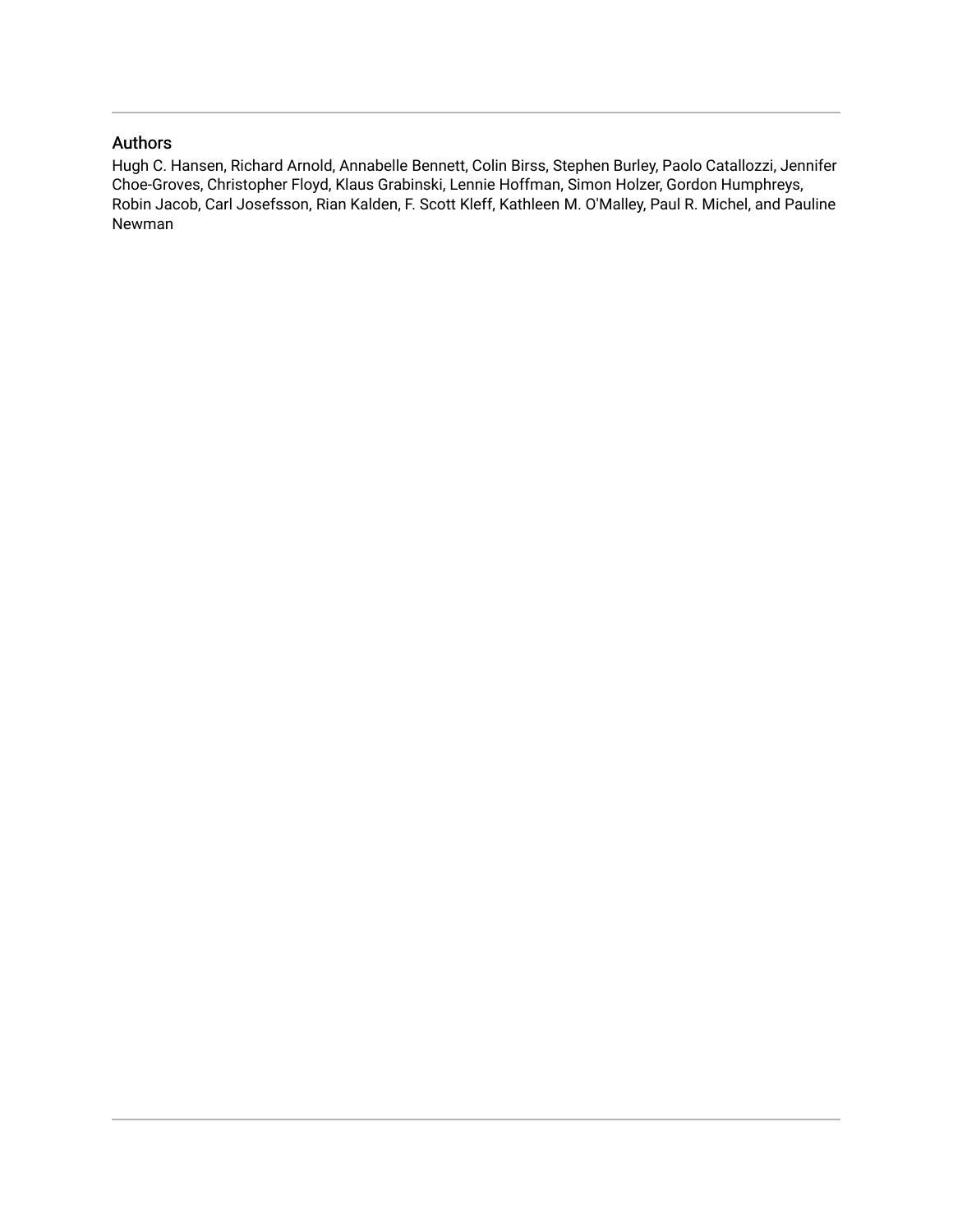## Authors

Hugh C. Hansen, Richard Arnold, Annabelle Bennett, Colin Birss, Stephen Burley, Paolo Catallozzi, Jennifer Choe-Groves, Christopher Floyd, Klaus Grabinski, Lennie Hoffman, Simon Holzer, Gordon Humphreys, Robin Jacob, Carl Josefsson, Rian Kalden, F. Scott Kleff, Kathleen M. O'Malley, Paul R. Michel, and Pauline Newman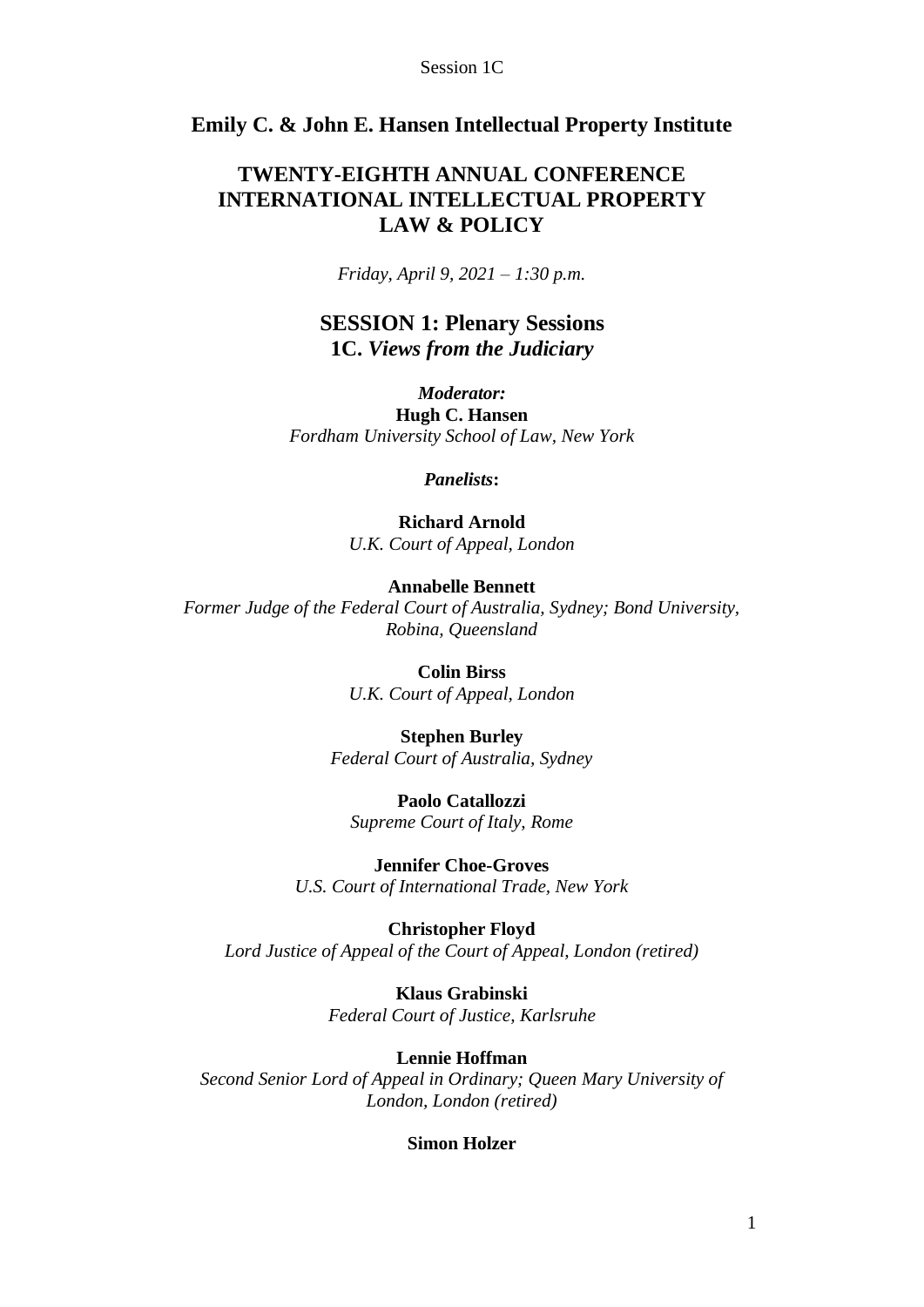## **Emily C. & John E. Hansen Intellectual Property Institute**

## **TWENTY-EIGHTH ANNUAL CONFERENCE INTERNATIONAL INTELLECTUAL PROPERTY LAW & POLICY**

*Friday, April 9, 2021 – 1:30 p.m.*

**SESSION 1: Plenary Sessions 1C.** *Views from the Judiciary*

*Moderator:* **Hugh C. Hansen** *Fordham University School of Law, New York*

*Panelists***:**

**Richard Arnold** *U.K. Court of Appeal, London*

## **Annabelle Bennett**

*Former Judge of the Federal Court of Australia, Sydney; Bond University, Robina, Queensland*

> **Colin Birss** *U.K. Court of Appeal, London*

**Stephen Burley** *Federal Court of Australia, Sydney*

**Paolo Catallozzi** *Supreme Court of Italy, Rome*

**Jennifer Choe-Groves** *U.S. Court of International Trade, New York*

**Christopher Floyd** *Lord Justice of Appeal of the Court of Appeal, London (retired)*

> **Klaus Grabinski** *Federal Court of Justice, Karlsruhe*

**Lennie Hoffman** *Second Senior Lord of Appeal in Ordinary; Queen Mary University of London, London (retired)*

## **Simon Holzer**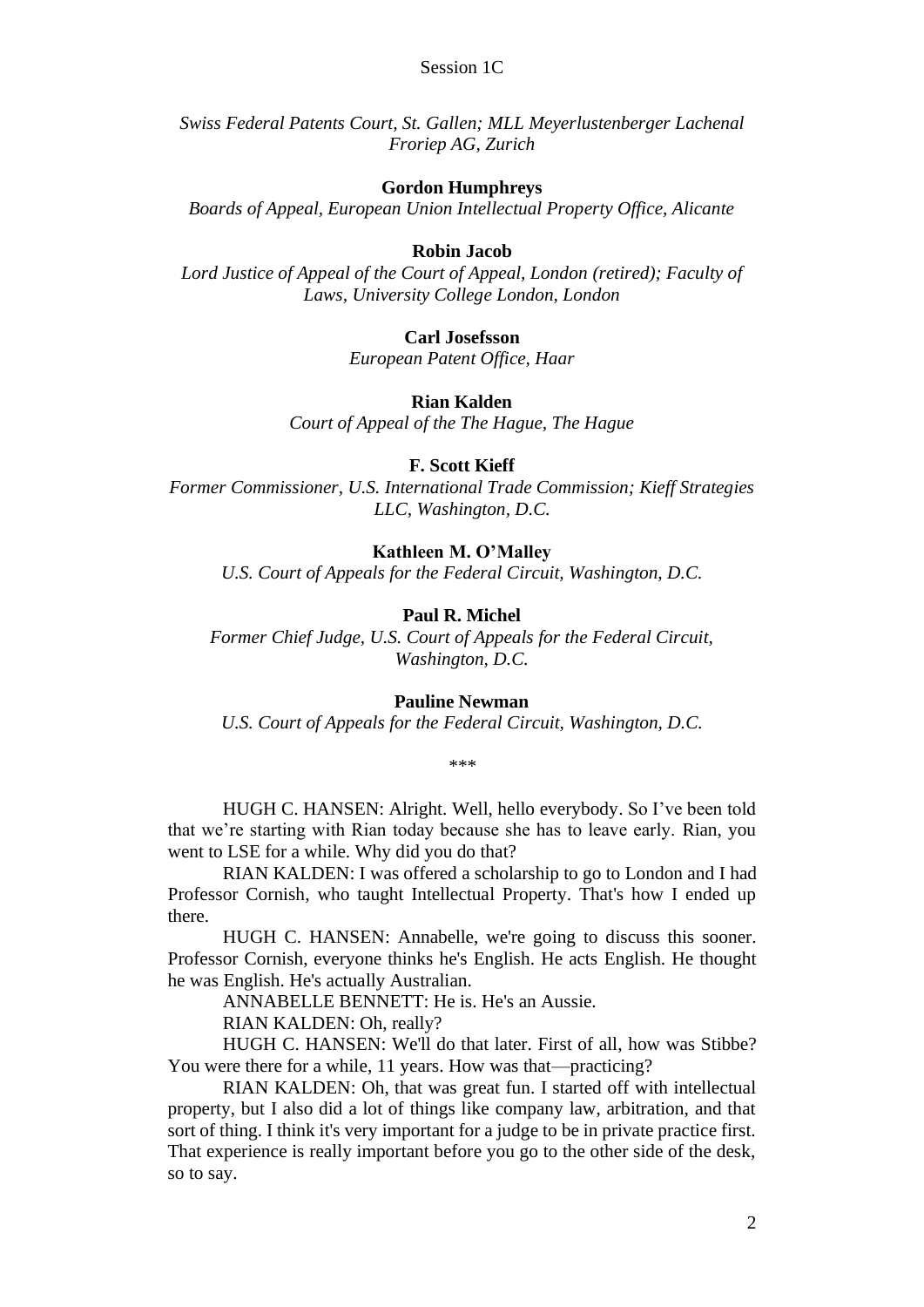*Swiss Federal Patents Court, St. Gallen; MLL Meyerlustenberger Lachenal Froriep AG, Zurich*

## **Gordon Humphreys**

*Boards of Appeal, European Union Intellectual Property Office, Alicante*

## **Robin Jacob**

*Lord Justice of Appeal of the Court of Appeal, London (retired); Faculty of Laws, University College London, London*

## **Carl Josefsson**

*European Patent Office, Haar*

## **Rian Kalden**

*Court of Appeal of the The Hague, The Hague*

#### **F. Scott Kieff**

*Former Commissioner, U.S. International Trade Commission; Kieff Strategies LLC, Washington, D.C.*

## **Kathleen M. O'Malley**

*U.S. Court of Appeals for the Federal Circuit, Washington, D.C.*

## **Paul R. Michel**

*Former Chief Judge, U.S. Court of Appeals for the Federal Circuit, Washington, D.C.*

## **Pauline Newman**

*U.S. Court of Appeals for the Federal Circuit, Washington, D.C.*

*\*\*\**

HUGH C. HANSEN: Alright. Well, hello everybody. So I've been told that we're starting with Rian today because she has to leave early. Rian, you went to LSE for a while. Why did you do that?

RIAN KALDEN: I was offered a scholarship to go to London and I had Professor Cornish, who taught Intellectual Property. That's how I ended up there.

HUGH C. HANSEN: Annabelle, we're going to discuss this sooner. Professor Cornish, everyone thinks he's English. He acts English. He thought he was English. He's actually Australian.

ANNABELLE BENNETT: He is. He's an Aussie.

RIAN KALDEN: Oh, really?

HUGH C. HANSEN: We'll do that later. First of all, how was Stibbe? You were there for a while, 11 years. How was that—practicing?

RIAN KALDEN: Oh, that was great fun. I started off with intellectual property, but I also did a lot of things like company law, arbitration, and that sort of thing. I think it's very important for a judge to be in private practice first. That experience is really important before you go to the other side of the desk, so to say.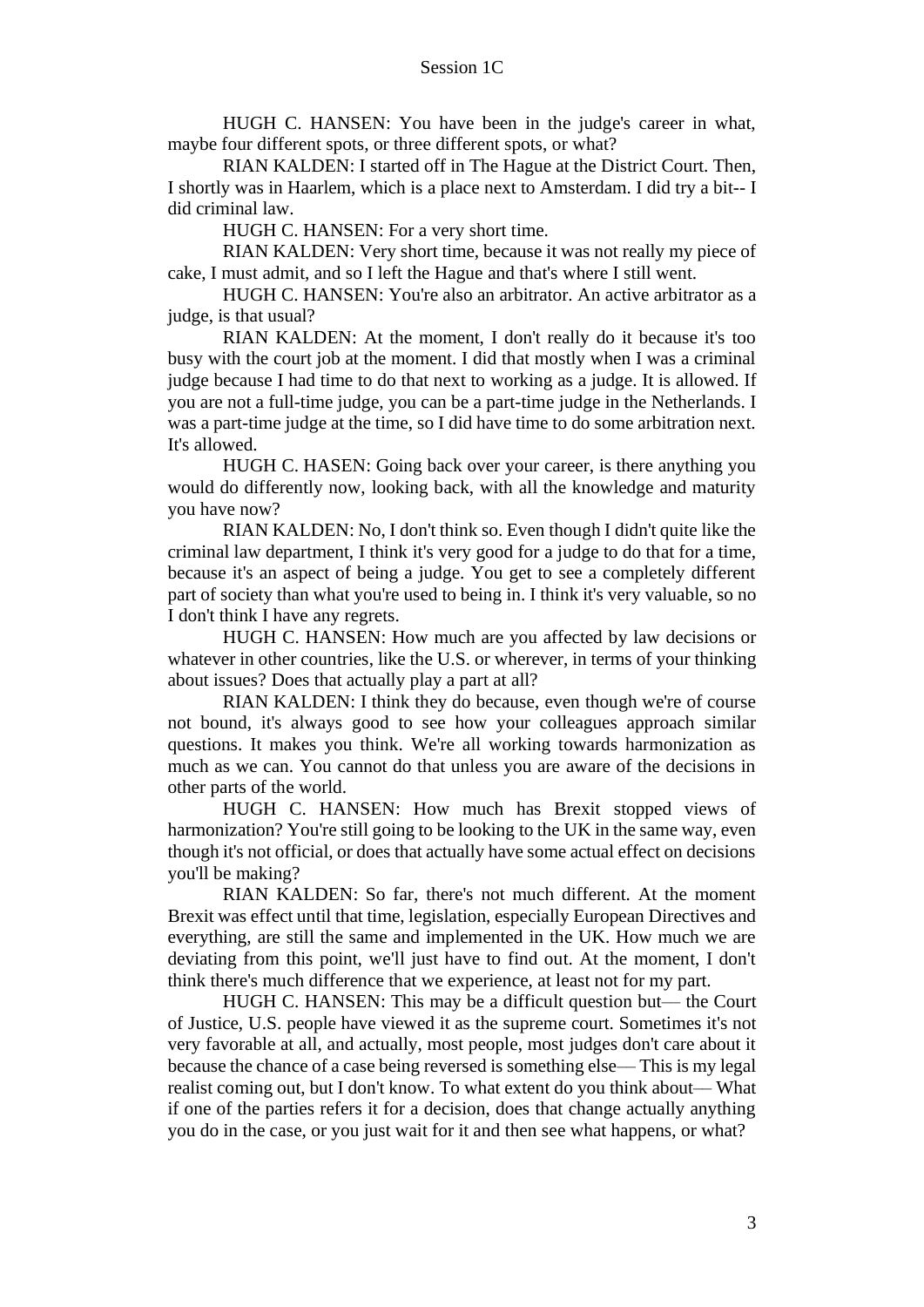HUGH C. HANSEN: You have been in the judge's career in what, maybe four different spots, or three different spots, or what?

RIAN KALDEN: I started off in The Hague at the District Court. Then, I shortly was in Haarlem, which is a place next to Amsterdam. I did try a bit-- I did criminal law.

HUGH C. HANSEN: For a very short time.

RIAN KALDEN: Very short time, because it was not really my piece of cake, I must admit, and so I left the Hague and that's where I still went.

HUGH C. HANSEN: You're also an arbitrator. An active arbitrator as a judge, is that usual?

RIAN KALDEN: At the moment, I don't really do it because it's too busy with the court job at the moment. I did that mostly when I was a criminal judge because I had time to do that next to working as a judge. It is allowed. If you are not a full-time judge, you can be a part-time judge in the Netherlands. I was a part-time judge at the time, so I did have time to do some arbitration next. It's allowed.

HUGH C. HASEN: Going back over your career, is there anything you would do differently now, looking back, with all the knowledge and maturity you have now?

RIAN KALDEN: No, I don't think so. Even though I didn't quite like the criminal law department, I think it's very good for a judge to do that for a time, because it's an aspect of being a judge. You get to see a completely different part of society than what you're used to being in. I think it's very valuable, so no I don't think I have any regrets.

HUGH C. HANSEN: How much are you affected by law decisions or whatever in other countries, like the U.S. or wherever, in terms of your thinking about issues? Does that actually play a part at all?

RIAN KALDEN: I think they do because, even though we're of course not bound, it's always good to see how your colleagues approach similar questions. It makes you think. We're all working towards harmonization as much as we can. You cannot do that unless you are aware of the decisions in other parts of the world.

HUGH C. HANSEN: How much has Brexit stopped views of harmonization? You're still going to be looking to the UK in the same way, even though it's not official, or does that actually have some actual effect on decisions you'll be making?

RIAN KALDEN: So far, there's not much different. At the moment Brexit was effect until that time, legislation, especially European Directives and everything, are still the same and implemented in the UK. How much we are deviating from this point, we'll just have to find out. At the moment, I don't think there's much difference that we experience, at least not for my part.

HUGH C. HANSEN: This may be a difficult question but— the Court of Justice, U.S. people have viewed it as the supreme court. Sometimes it's not very favorable at all, and actually, most people, most judges don't care about it because the chance of a case being reversed is something else–– This is my legal realist coming out, but I don't know. To what extent do you think about–– What if one of the parties refers it for a decision, does that change actually anything you do in the case, or you just wait for it and then see what happens, or what?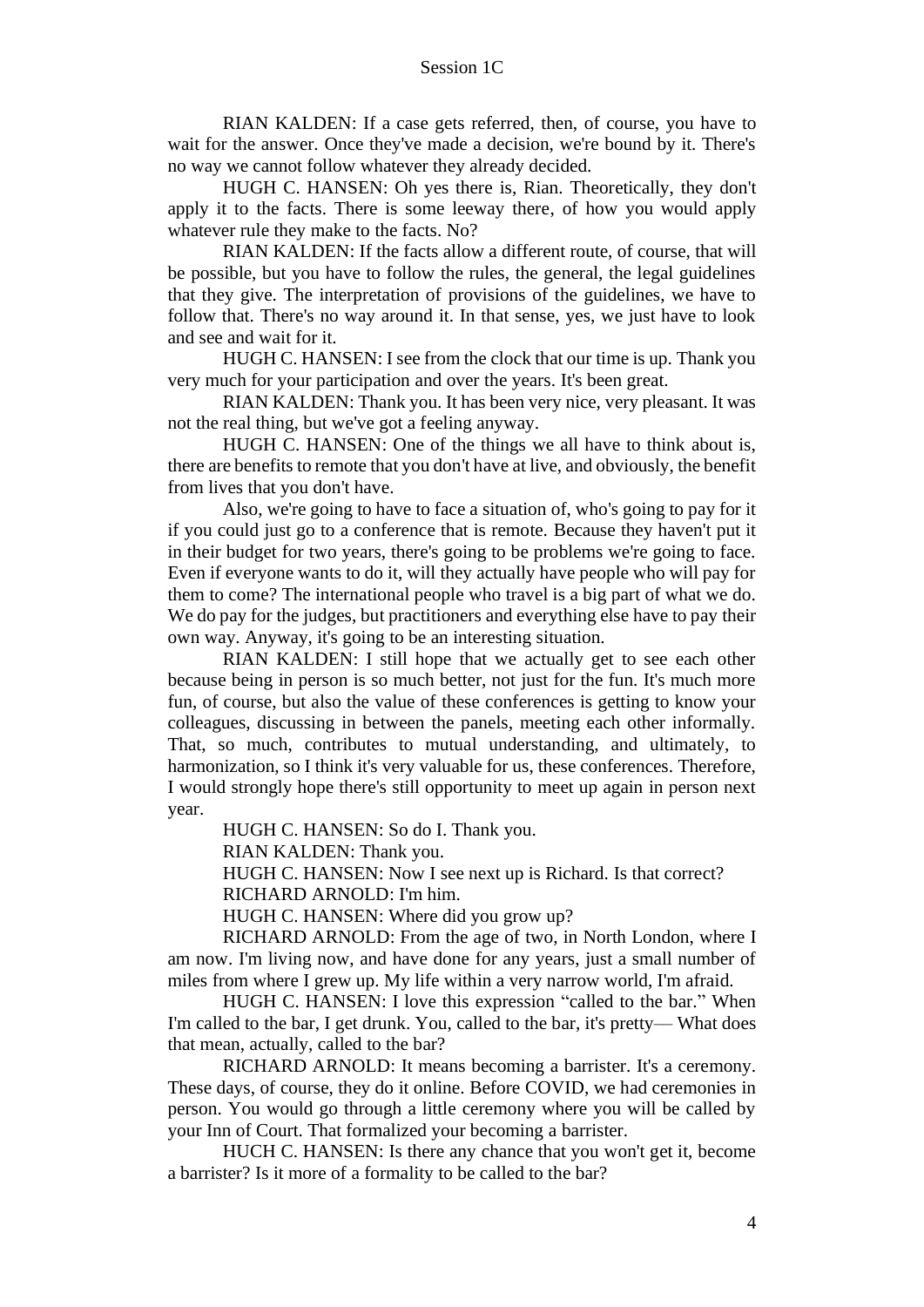RIAN KALDEN: If a case gets referred, then, of course, you have to wait for the answer. Once they've made a decision, we're bound by it. There's no way we cannot follow whatever they already decided.

HUGH C. HANSEN: Oh yes there is, Rian. Theoretically, they don't apply it to the facts. There is some leeway there, of how you would apply whatever rule they make to the facts. No?

RIAN KALDEN: If the facts allow a different route, of course, that will be possible, but you have to follow the rules, the general, the legal guidelines that they give. The interpretation of provisions of the guidelines, we have to follow that. There's no way around it. In that sense, yes, we just have to look and see and wait for it.

HUGH C. HANSEN: I see from the clock that our time is up. Thank you very much for your participation and over the years. It's been great.

RIAN KALDEN: Thank you. It has been very nice, very pleasant. It was not the real thing, but we've got a feeling anyway.

HUGH C. HANSEN: One of the things we all have to think about is, there are benefits to remote that you don't have at live, and obviously, the benefit from lives that you don't have.

Also, we're going to have to face a situation of, who's going to pay for it if you could just go to a conference that is remote. Because they haven't put it in their budget for two years, there's going to be problems we're going to face. Even if everyone wants to do it, will they actually have people who will pay for them to come? The international people who travel is a big part of what we do. We do pay for the judges, but practitioners and everything else have to pay their own way. Anyway, it's going to be an interesting situation.

RIAN KALDEN: I still hope that we actually get to see each other because being in person is so much better, not just for the fun. It's much more fun, of course, but also the value of these conferences is getting to know your colleagues, discussing in between the panels, meeting each other informally. That, so much, contributes to mutual understanding, and ultimately, to harmonization, so I think it's very valuable for us, these conferences. Therefore, I would strongly hope there's still opportunity to meet up again in person next year.

HUGH C. HANSEN: So do I. Thank you.

RIAN KALDEN: Thank you.

HUGH C. HANSEN: Now I see next up is Richard. Is that correct?

RICHARD ARNOLD: I'm him.

HUGH C. HANSEN: Where did you grow up?

RICHARD ARNOLD: From the age of two, in North London, where I am now. I'm living now, and have done for any years, just a small number of miles from where I grew up. My life within a very narrow world, I'm afraid.

HUGH C. HANSEN: I love this expression "called to the bar." When I'm called to the bar, I get drunk. You, called to the bar, it's pretty–– What does that mean, actually, called to the bar?

RICHARD ARNOLD: It means becoming a barrister. It's a ceremony. These days, of course, they do it online. Before COVID, we had ceremonies in person. You would go through a little ceremony where you will be called by your Inn of Court. That formalized your becoming a barrister.

HUCH C. HANSEN: Is there any chance that you won't get it, become a barrister? Is it more of a formality to be called to the bar?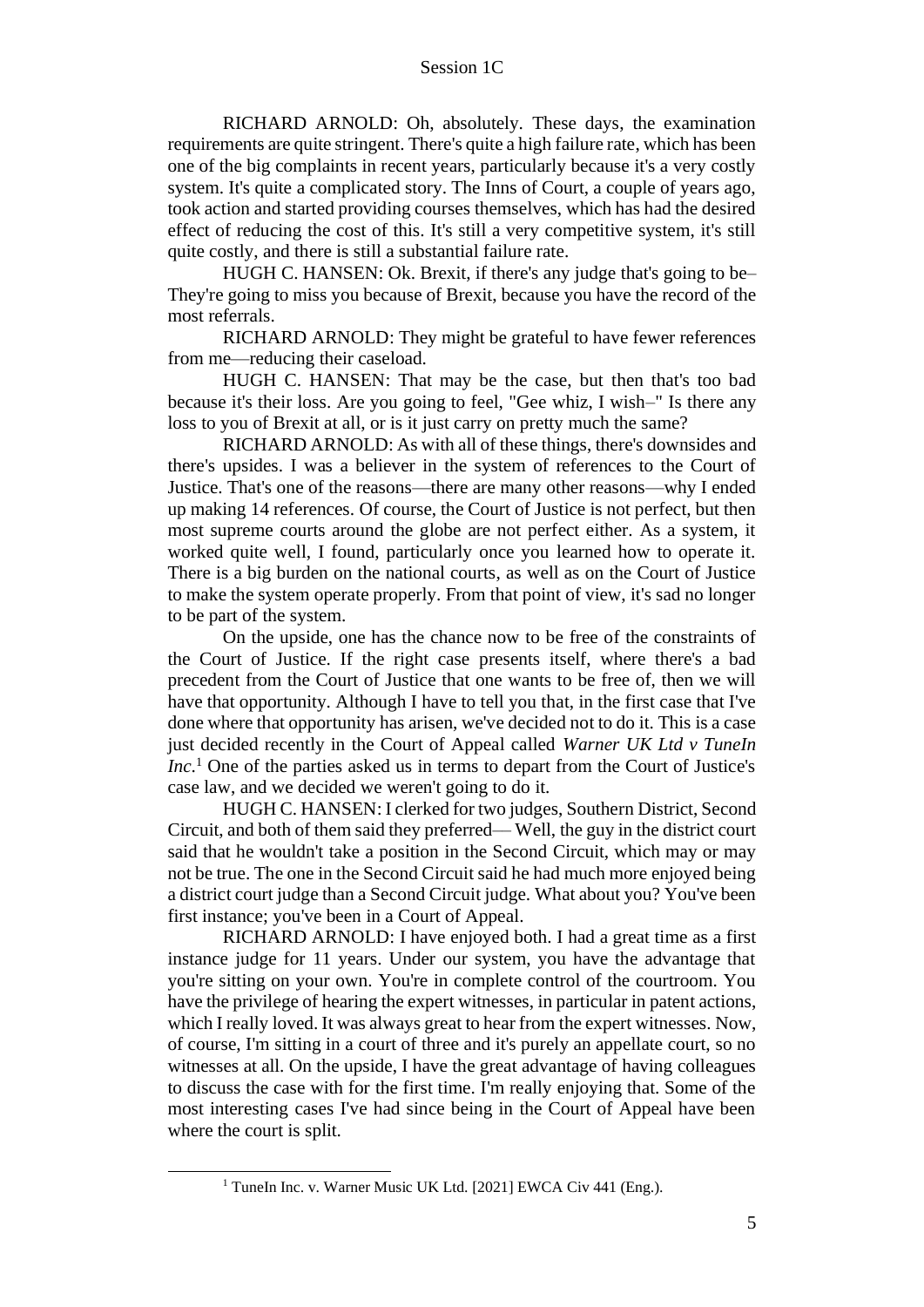RICHARD ARNOLD: Oh, absolutely. These days, the examination requirements are quite stringent. There's quite a high failure rate, which has been one of the big complaints in recent years, particularly because it's a very costly system. It's quite a complicated story. The Inns of Court, a couple of years ago, took action and started providing courses themselves, which has had the desired effect of reducing the cost of this. It's still a very competitive system, it's still quite costly, and there is still a substantial failure rate.

HUGH C. HANSEN: Ok. Brexit, if there's any judge that's going to be– They're going to miss you because of Brexit, because you have the record of the most referrals.

RICHARD ARNOLD: They might be grateful to have fewer references from me—reducing their caseload.

HUGH C. HANSEN: That may be the case, but then that's too bad because it's their loss. Are you going to feel, "Gee whiz, I wish–" Is there any loss to you of Brexit at all, or is it just carry on pretty much the same?

RICHARD ARNOLD: As with all of these things, there's downsides and there's upsides. I was a believer in the system of references to the Court of Justice. That's one of the reasons—there are many other reasons—why I ended up making 14 references. Of course, the Court of Justice is not perfect, but then most supreme courts around the globe are not perfect either. As a system, it worked quite well, I found, particularly once you learned how to operate it. There is a big burden on the national courts, as well as on the Court of Justice to make the system operate properly. From that point of view, it's sad no longer to be part of the system.

On the upside, one has the chance now to be free of the constraints of the Court of Justice. If the right case presents itself, where there's a bad precedent from the Court of Justice that one wants to be free of, then we will have that opportunity. Although I have to tell you that, in the first case that I've done where that opportunity has arisen, we've decided not to do it. This is a case just decided recently in the Court of Appeal called *Warner UK Ltd v TuneIn Inc*. <sup>1</sup> One of the parties asked us in terms to depart from the Court of Justice's case law, and we decided we weren't going to do it.

HUGH C. HANSEN: I clerked for two judges, Southern District, Second Circuit, and both of them said they preferred–– Well, the guy in the district court said that he wouldn't take a position in the Second Circuit, which may or may not be true. The one in the Second Circuit said he had much more enjoyed being a district court judge than a Second Circuit judge. What about you? You've been first instance; you've been in a Court of Appeal.

RICHARD ARNOLD: I have enjoyed both. I had a great time as a first instance judge for 11 years. Under our system, you have the advantage that you're sitting on your own. You're in complete control of the courtroom. You have the privilege of hearing the expert witnesses, in particular in patent actions, which I really loved. It was always great to hear from the expert witnesses. Now, of course, I'm sitting in a court of three and it's purely an appellate court, so no witnesses at all. On the upside, I have the great advantage of having colleagues to discuss the case with for the first time. I'm really enjoying that. Some of the most interesting cases I've had since being in the Court of Appeal have been where the court is split.

<sup>&</sup>lt;sup>1</sup> TuneIn Inc. v. Warner Music UK Ltd. [2021] EWCA Civ 441 (Eng.).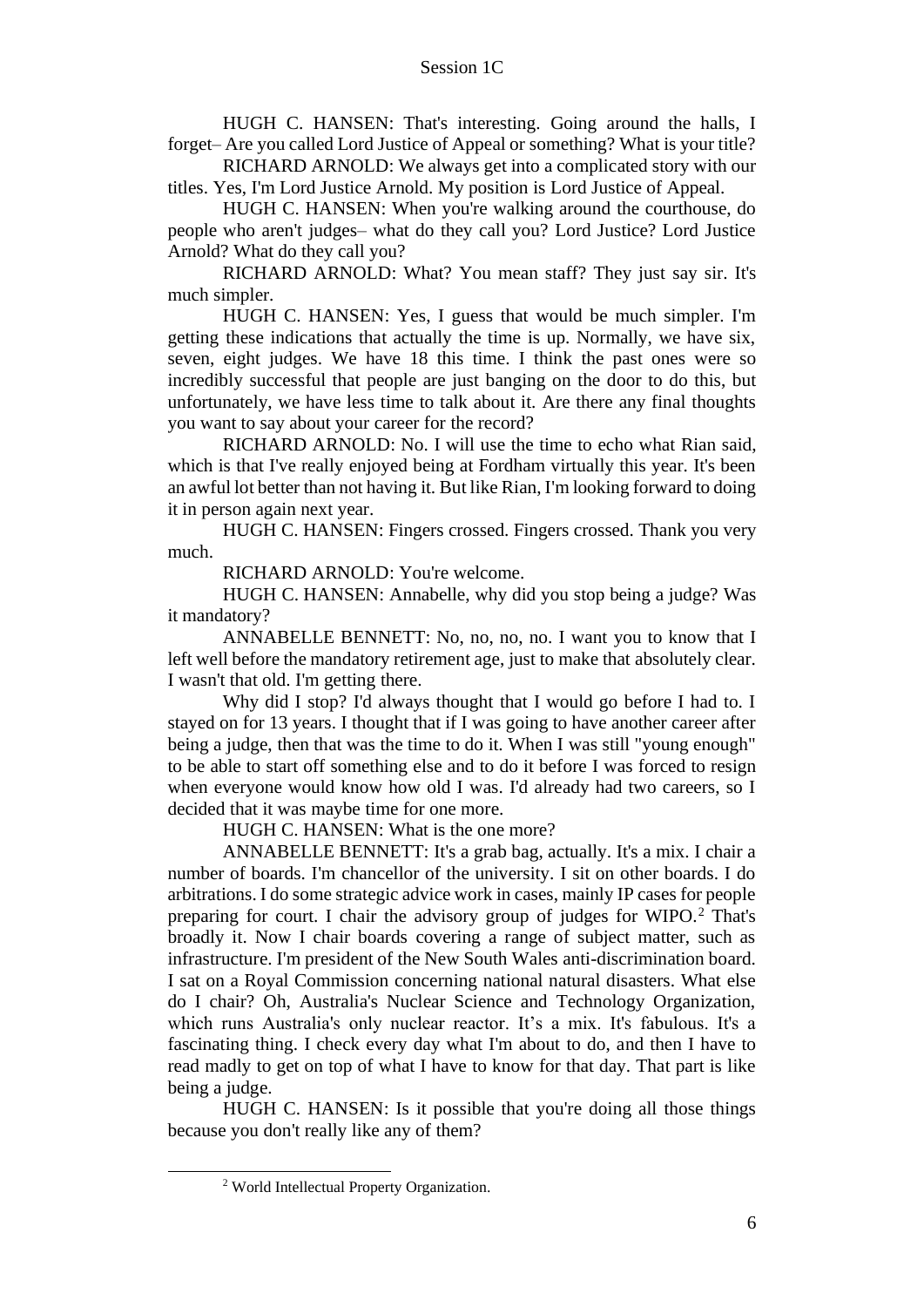HUGH C. HANSEN: That's interesting. Going around the halls, I forget– Are you called Lord Justice of Appeal or something? What is your title?

RICHARD ARNOLD: We always get into a complicated story with our titles. Yes, I'm Lord Justice Arnold. My position is Lord Justice of Appeal.

HUGH C. HANSEN: When you're walking around the courthouse, do people who aren't judges– what do they call you? Lord Justice? Lord Justice Arnold? What do they call you?

RICHARD ARNOLD: What? You mean staff? They just say sir. It's much simpler.

HUGH C. HANSEN: Yes, I guess that would be much simpler. I'm getting these indications that actually the time is up. Normally, we have six, seven, eight judges. We have 18 this time. I think the past ones were so incredibly successful that people are just banging on the door to do this, but unfortunately, we have less time to talk about it. Are there any final thoughts you want to say about your career for the record?

RICHARD ARNOLD: No. I will use the time to echo what Rian said, which is that I've really enjoyed being at Fordham virtually this year. It's been an awful lot better than not having it. But like Rian, I'm looking forward to doing it in person again next year.

HUGH C. HANSEN: Fingers crossed. Fingers crossed. Thank you very much.

RICHARD ARNOLD: You're welcome.

HUGH C. HANSEN: Annabelle, why did you stop being a judge? Was it mandatory?

ANNABELLE BENNETT: No, no, no, no. I want you to know that I left well before the mandatory retirement age, just to make that absolutely clear. I wasn't that old. I'm getting there.

Why did I stop? I'd always thought that I would go before I had to. I stayed on for 13 years. I thought that if I was going to have another career after being a judge, then that was the time to do it. When I was still "young enough" to be able to start off something else and to do it before I was forced to resign when everyone would know how old I was. I'd already had two careers, so I decided that it was maybe time for one more.

HUGH C. HANSEN: What is the one more?

ANNABELLE BENNETT: It's a grab bag, actually. It's a mix. I chair a number of boards. I'm chancellor of the university. I sit on other boards. I do arbitrations. I do some strategic advice work in cases, mainly IP cases for people preparing for court. I chair the advisory group of judges for WIPO.<sup>2</sup> That's broadly it. Now I chair boards covering a range of subject matter, such as infrastructure. I'm president of the New South Wales anti-discrimination board. I sat on a Royal Commission concerning national natural disasters. What else do I chair? Oh, Australia's Nuclear Science and Technology Organization, which runs Australia's only nuclear reactor. It's a mix. It's fabulous. It's a fascinating thing. I check every day what I'm about to do, and then I have to read madly to get on top of what I have to know for that day. That part is like being a judge.

HUGH C. HANSEN: Is it possible that you're doing all those things because you don't really like any of them?

<sup>2</sup> World Intellectual Property Organization.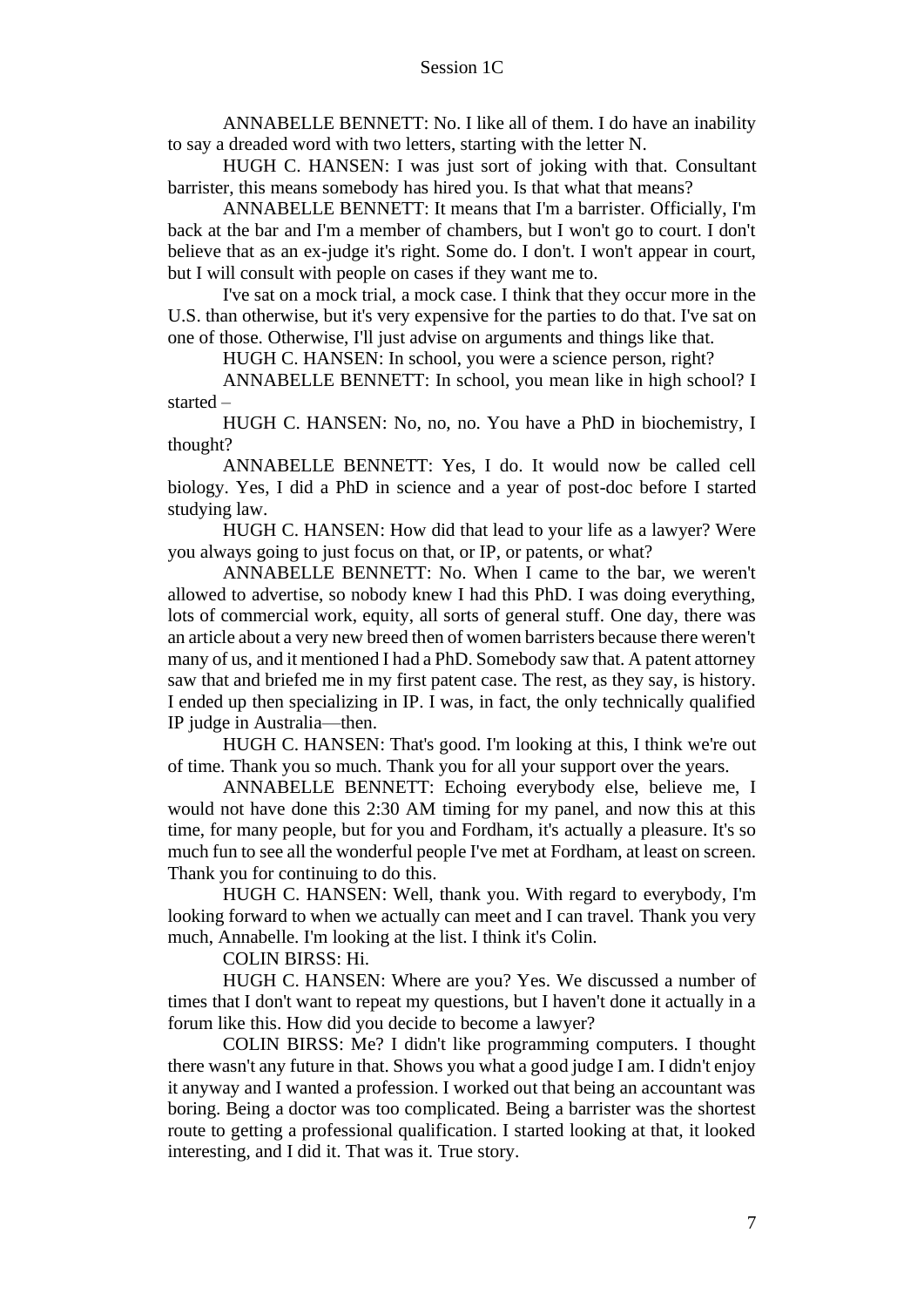ANNABELLE BENNETT: No. I like all of them. I do have an inability to say a dreaded word with two letters, starting with the letter N.

HUGH C. HANSEN: I was just sort of joking with that. Consultant barrister, this means somebody has hired you. Is that what that means?

ANNABELLE BENNETT: It means that I'm a barrister. Officially, I'm back at the bar and I'm a member of chambers, but I won't go to court. I don't believe that as an ex-judge it's right. Some do. I don't. I won't appear in court, but I will consult with people on cases if they want me to.

I've sat on a mock trial, a mock case. I think that they occur more in the U.S. than otherwise, but it's very expensive for the parties to do that. I've sat on one of those. Otherwise, I'll just advise on arguments and things like that.

HUGH C. HANSEN: In school, you were a science person, right?

ANNABELLE BENNETT: In school, you mean like in high school? I started –

HUGH C. HANSEN: No, no, no. You have a PhD in biochemistry, I thought?

ANNABELLE BENNETT: Yes, I do. It would now be called cell biology. Yes, I did a PhD in science and a year of post-doc before I started studying law.

HUGH C. HANSEN: How did that lead to your life as a lawyer? Were you always going to just focus on that, or IP, or patents, or what?

ANNABELLE BENNETT: No. When I came to the bar, we weren't allowed to advertise, so nobody knew I had this PhD. I was doing everything, lots of commercial work, equity, all sorts of general stuff. One day, there was an article about a very new breed then of women barristers because there weren't many of us, and it mentioned I had a PhD. Somebody saw that. A patent attorney saw that and briefed me in my first patent case. The rest, as they say, is history. I ended up then specializing in IP. I was, in fact, the only technically qualified IP judge in Australia—then.

HUGH C. HANSEN: That's good. I'm looking at this, I think we're out of time. Thank you so much. Thank you for all your support over the years.

ANNABELLE BENNETT: Echoing everybody else, believe me, I would not have done this 2:30 AM timing for my panel, and now this at this time, for many people, but for you and Fordham, it's actually a pleasure. It's so much fun to see all the wonderful people I've met at Fordham, at least on screen. Thank you for continuing to do this.

HUGH C. HANSEN: Well, thank you. With regard to everybody, I'm looking forward to when we actually can meet and I can travel. Thank you very much, Annabelle. I'm looking at the list. I think it's Colin.

COLIN BIRSS: Hi.

HUGH C. HANSEN: Where are you? Yes. We discussed a number of times that I don't want to repeat my questions, but I haven't done it actually in a forum like this. How did you decide to become a lawyer?

COLIN BIRSS: Me? I didn't like programming computers. I thought there wasn't any future in that. Shows you what a good judge I am. I didn't enjoy it anyway and I wanted a profession. I worked out that being an accountant was boring. Being a doctor was too complicated. Being a barrister was the shortest route to getting a professional qualification. I started looking at that, it looked interesting, and I did it. That was it. True story.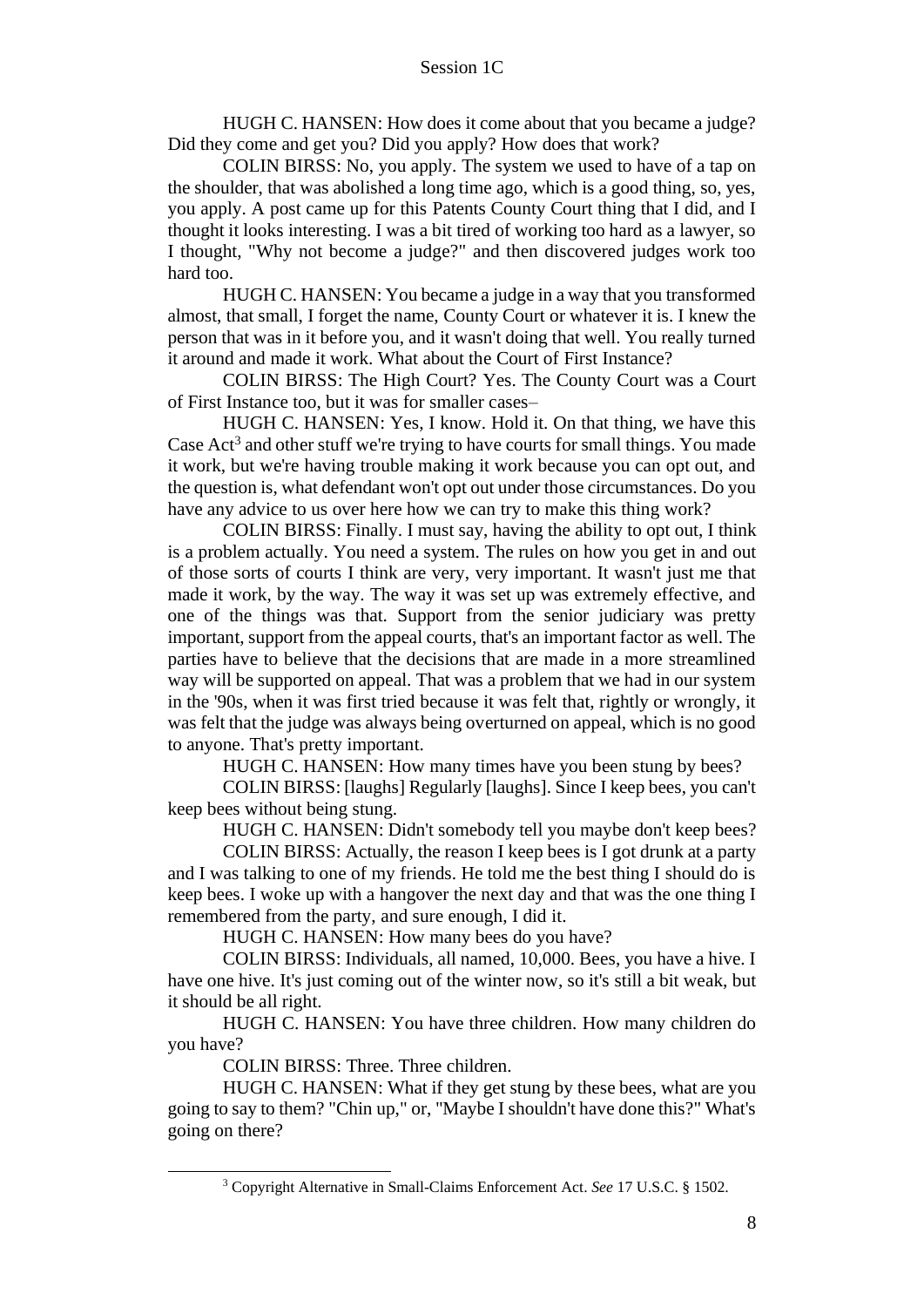HUGH C. HANSEN: How does it come about that you became a judge? Did they come and get you? Did you apply? How does that work?

COLIN BIRSS: No, you apply. The system we used to have of a tap on the shoulder, that was abolished a long time ago, which is a good thing, so, yes, you apply. A post came up for this Patents County Court thing that I did, and I thought it looks interesting. I was a bit tired of working too hard as a lawyer, so I thought, "Why not become a judge?" and then discovered judges work too hard too.

HUGH C. HANSEN: You became a judge in a way that you transformed almost, that small, I forget the name, County Court or whatever it is. I knew the person that was in it before you, and it wasn't doing that well. You really turned it around and made it work. What about the Court of First Instance?

COLIN BIRSS: The High Court? Yes. The County Court was a Court of First Instance too, but it was for smaller cases–

HUGH C. HANSEN: Yes, I know. Hold it. On that thing, we have this Case Act<sup>3</sup> and other stuff we're trying to have courts for small things. You made it work, but we're having trouble making it work because you can opt out, and the question is, what defendant won't opt out under those circumstances. Do you have any advice to us over here how we can try to make this thing work?

COLIN BIRSS: Finally. I must say, having the ability to opt out, I think is a problem actually. You need a system. The rules on how you get in and out of those sorts of courts I think are very, very important. It wasn't just me that made it work, by the way. The way it was set up was extremely effective, and one of the things was that. Support from the senior judiciary was pretty important, support from the appeal courts, that's an important factor as well. The parties have to believe that the decisions that are made in a more streamlined way will be supported on appeal. That was a problem that we had in our system in the '90s, when it was first tried because it was felt that, rightly or wrongly, it was felt that the judge was always being overturned on appeal, which is no good to anyone. That's pretty important.

HUGH C. HANSEN: How many times have you been stung by bees?

COLIN BIRSS: [laughs] Regularly [laughs]. Since I keep bees, you can't keep bees without being stung.

HUGH C. HANSEN: Didn't somebody tell you maybe don't keep bees?

COLIN BIRSS: Actually, the reason I keep bees is I got drunk at a party and I was talking to one of my friends. He told me the best thing I should do is keep bees. I woke up with a hangover the next day and that was the one thing I remembered from the party, and sure enough, I did it.

HUGH C. HANSEN: How many bees do you have?

COLIN BIRSS: Individuals, all named, 10,000. Bees, you have a hive. I have one hive. It's just coming out of the winter now, so it's still a bit weak, but it should be all right.

HUGH C. HANSEN: You have three children. How many children do you have?

COLIN BIRSS: Three. Three children.

HUGH C. HANSEN: What if they get stung by these bees, what are you going to say to them? "Chin up," or, "Maybe I shouldn't have done this?" What's going on there?

<sup>3</sup> Copyright Alternative in Small-Claims Enforcement Act. *See* 17 U.S.C. § 1502.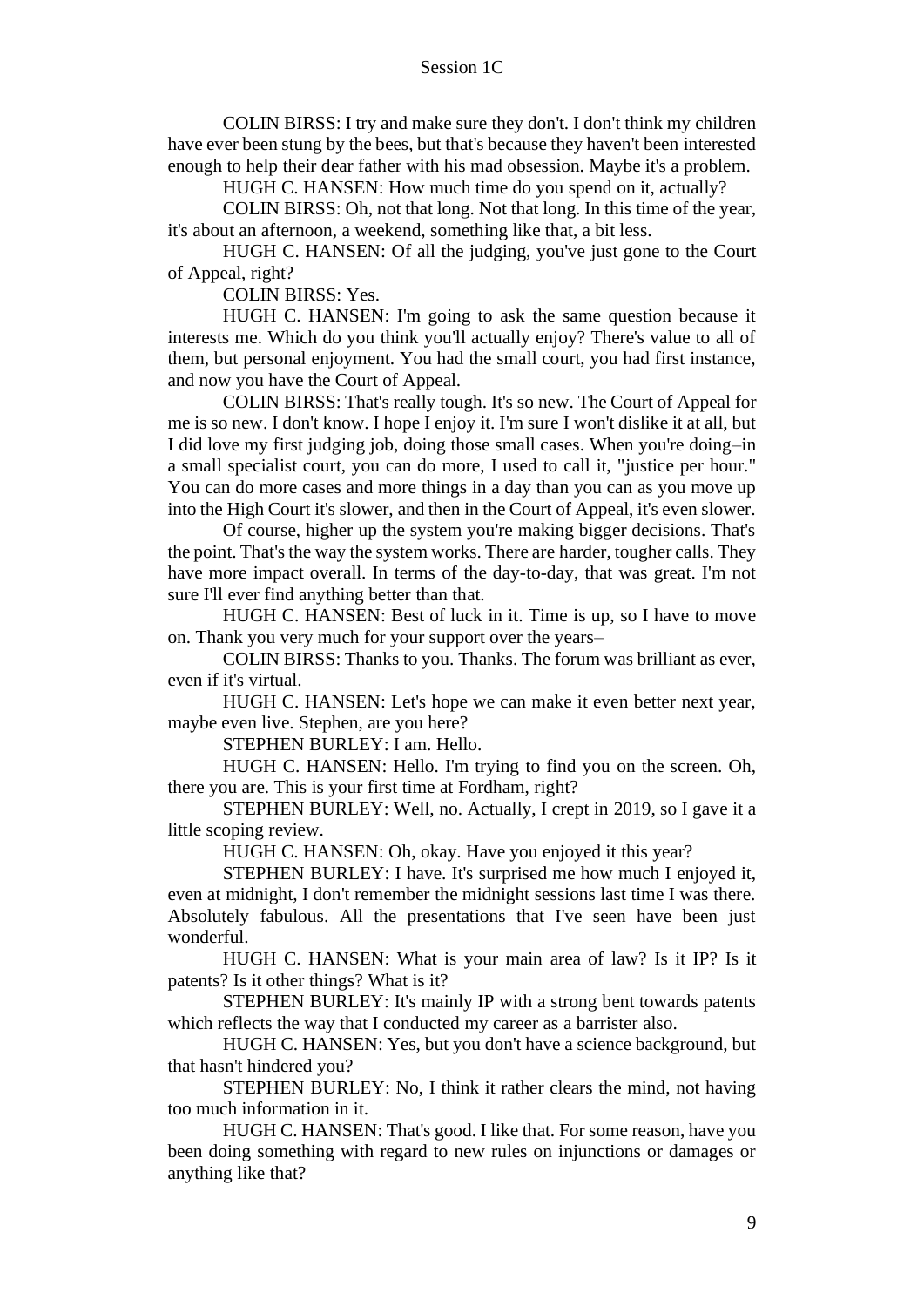COLIN BIRSS: I try and make sure they don't. I don't think my children have ever been stung by the bees, but that's because they haven't been interested enough to help their dear father with his mad obsession. Maybe it's a problem.

HUGH C. HANSEN: How much time do you spend on it, actually?

COLIN BIRSS: Oh, not that long. Not that long. In this time of the year, it's about an afternoon, a weekend, something like that, a bit less.

HUGH C. HANSEN: Of all the judging, you've just gone to the Court of Appeal, right?

COLIN BIRSS: Yes.

HUGH C. HANSEN: I'm going to ask the same question because it interests me. Which do you think you'll actually enjoy? There's value to all of them, but personal enjoyment. You had the small court, you had first instance, and now you have the Court of Appeal.

COLIN BIRSS: That's really tough. It's so new. The Court of Appeal for me is so new. I don't know. I hope I enjoy it. I'm sure I won't dislike it at all, but I did love my first judging job, doing those small cases. When you're doing–in a small specialist court, you can do more, I used to call it, "justice per hour." You can do more cases and more things in a day than you can as you move up into the High Court it's slower, and then in the Court of Appeal, it's even slower.

Of course, higher up the system you're making bigger decisions. That's the point. That's the way the system works. There are harder, tougher calls. They have more impact overall. In terms of the day-to-day, that was great. I'm not sure I'll ever find anything better than that.

HUGH C. HANSEN: Best of luck in it. Time is up, so I have to move on. Thank you very much for your support over the years–

COLIN BIRSS: Thanks to you. Thanks. The forum was brilliant as ever, even if it's virtual.

HUGH C. HANSEN: Let's hope we can make it even better next year, maybe even live. Stephen, are you here?

STEPHEN BURLEY: I am. Hello.

HUGH C. HANSEN: Hello. I'm trying to find you on the screen. Oh, there you are. This is your first time at Fordham, right?

STEPHEN BURLEY: Well, no. Actually, I crept in 2019, so I gave it a little scoping review.

HUGH C. HANSEN: Oh, okay. Have you enjoyed it this year?

STEPHEN BURLEY: I have. It's surprised me how much I enjoyed it, even at midnight, I don't remember the midnight sessions last time I was there. Absolutely fabulous. All the presentations that I've seen have been just wonderful.

HUGH C. HANSEN: What is your main area of law? Is it IP? Is it patents? Is it other things? What is it?

STEPHEN BURLEY: It's mainly IP with a strong bent towards patents which reflects the way that I conducted my career as a barrister also.

HUGH C. HANSEN: Yes, but you don't have a science background, but that hasn't hindered you?

STEPHEN BURLEY: No, I think it rather clears the mind, not having too much information in it.

HUGH C. HANSEN: That's good. I like that. For some reason, have you been doing something with regard to new rules on injunctions or damages or anything like that?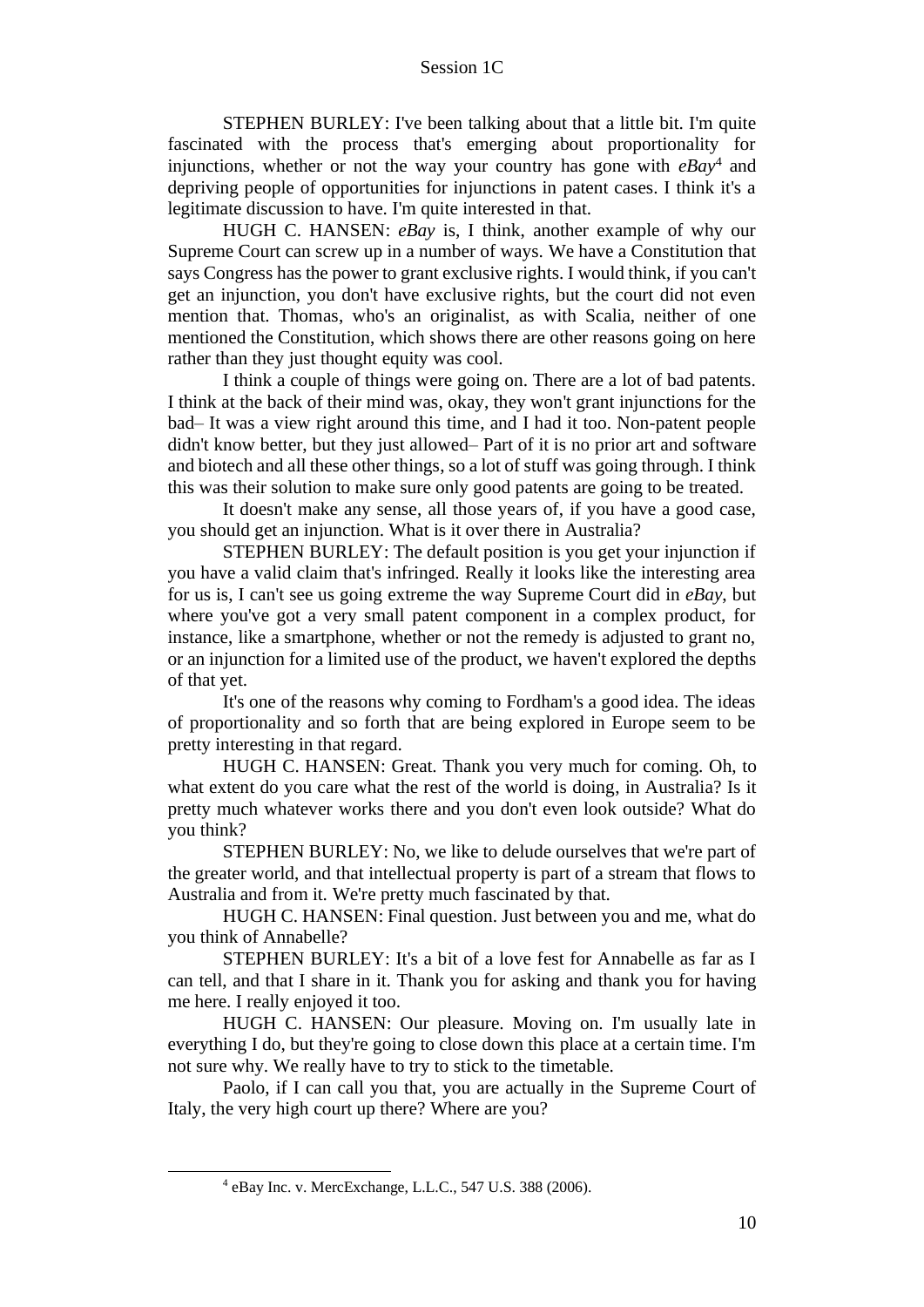STEPHEN BURLEY: I've been talking about that a little bit. I'm quite fascinated with the process that's emerging about proportionality for injunctions, whether or not the way your country has gone with *eBay*<sup>4</sup> and depriving people of opportunities for injunctions in patent cases. I think it's a legitimate discussion to have. I'm quite interested in that.

HUGH C. HANSEN: *eBay* is, I think, another example of why our Supreme Court can screw up in a number of ways. We have a Constitution that says Congress has the power to grant exclusive rights. I would think, if you can't get an injunction, you don't have exclusive rights, but the court did not even mention that. Thomas, who's an originalist, as with Scalia, neither of one mentioned the Constitution, which shows there are other reasons going on here rather than they just thought equity was cool.

I think a couple of things were going on. There are a lot of bad patents. I think at the back of their mind was, okay, they won't grant injunctions for the bad– It was a view right around this time, and I had it too. Non-patent people didn't know better, but they just allowed– Part of it is no prior art and software and biotech and all these other things, so a lot of stuff was going through. I think this was their solution to make sure only good patents are going to be treated.

It doesn't make any sense, all those years of, if you have a good case, you should get an injunction. What is it over there in Australia?

STEPHEN BURLEY: The default position is you get your injunction if you have a valid claim that's infringed. Really it looks like the interesting area for us is, I can't see us going extreme the way Supreme Court did in *eBay*, but where you've got a very small patent component in a complex product, for instance, like a smartphone, whether or not the remedy is adjusted to grant no, or an injunction for a limited use of the product, we haven't explored the depths of that yet.

It's one of the reasons why coming to Fordham's a good idea. The ideas of proportionality and so forth that are being explored in Europe seem to be pretty interesting in that regard.

HUGH C. HANSEN: Great. Thank you very much for coming. Oh, to what extent do you care what the rest of the world is doing, in Australia? Is it pretty much whatever works there and you don't even look outside? What do you think?

STEPHEN BURLEY: No, we like to delude ourselves that we're part of the greater world, and that intellectual property is part of a stream that flows to Australia and from it. We're pretty much fascinated by that.

HUGH C. HANSEN: Final question. Just between you and me, what do you think of Annabelle?

STEPHEN BURLEY: It's a bit of a love fest for Annabelle as far as I can tell, and that I share in it. Thank you for asking and thank you for having me here. I really enjoyed it too.

HUGH C. HANSEN: Our pleasure. Moving on. I'm usually late in everything I do, but they're going to close down this place at a certain time. I'm not sure why. We really have to try to stick to the timetable.

Paolo, if I can call you that, you are actually in the Supreme Court of Italy, the very high court up there? Where are you?

<sup>4</sup> eBay Inc. v. MercExchange, L.L.C., 547 U.S. 388 (2006).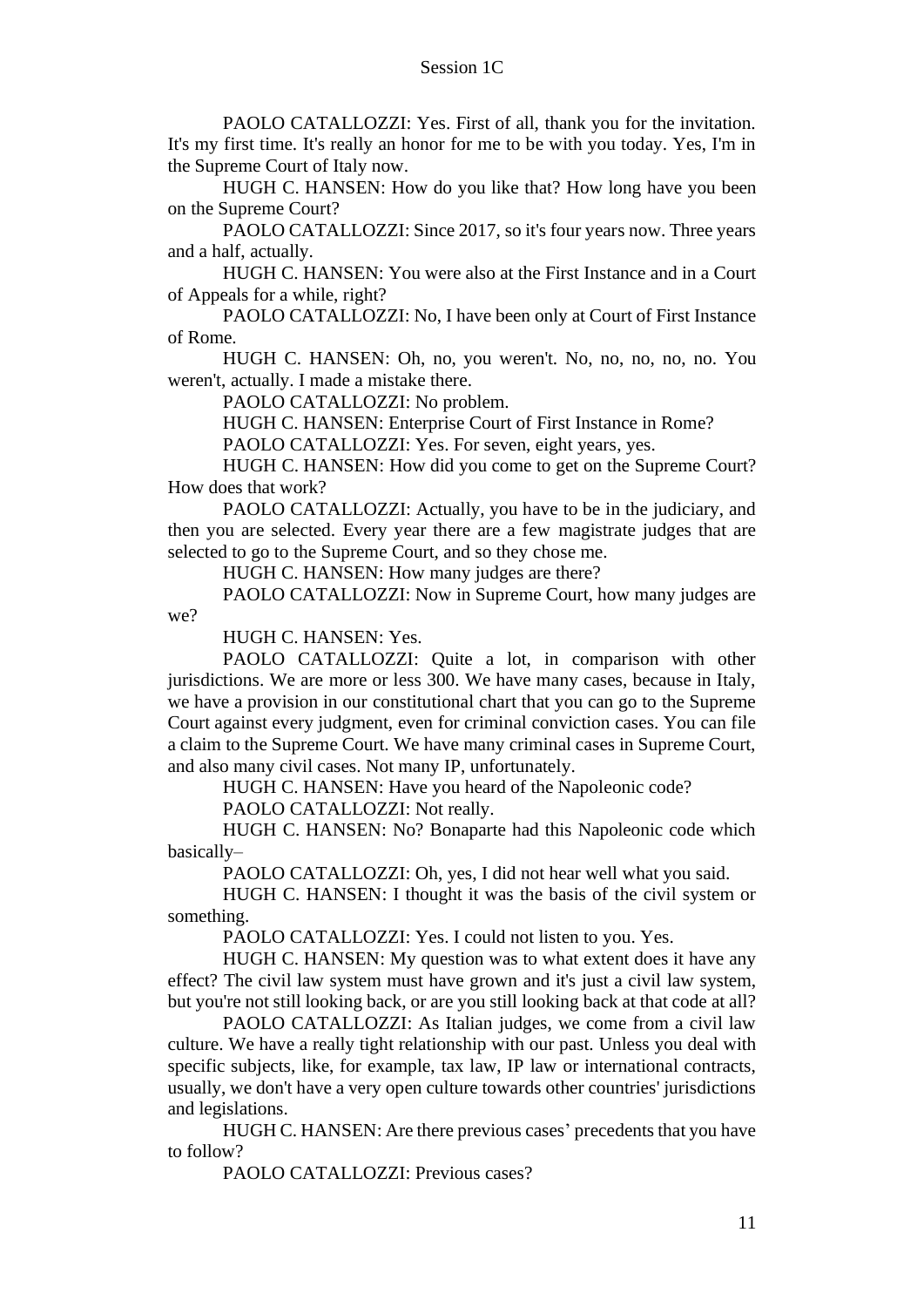PAOLO CATALLOZZI: Yes. First of all, thank you for the invitation. It's my first time. It's really an honor for me to be with you today. Yes, I'm in the Supreme Court of Italy now.

HUGH C. HANSEN: How do you like that? How long have you been on the Supreme Court?

PAOLO CATALLOZZI: Since 2017, so it's four years now. Three years and a half, actually.

HUGH C. HANSEN: You were also at the First Instance and in a Court of Appeals for a while, right?

PAOLO CATALLOZZI: No, I have been only at Court of First Instance of Rome.

HUGH C. HANSEN: Oh, no, you weren't. No, no, no, no, no. You weren't, actually. I made a mistake there.

PAOLO CATALLOZZI: No problem.

HUGH C. HANSEN: Enterprise Court of First Instance in Rome?

PAOLO CATALLOZZI: Yes. For seven, eight years, yes.

HUGH C. HANSEN: How did you come to get on the Supreme Court? How does that work?

PAOLO CATALLOZZI: Actually, you have to be in the judiciary, and then you are selected. Every year there are a few magistrate judges that are selected to go to the Supreme Court, and so they chose me.

HUGH C. HANSEN: How many judges are there?

PAOLO CATALLOZZI: Now in Supreme Court, how many judges are we?

HUGH C. HANSEN: Yes.

PAOLO CATALLOZZI: Quite a lot, in comparison with other jurisdictions. We are more or less 300. We have many cases, because in Italy, we have a provision in our constitutional chart that you can go to the Supreme Court against every judgment, even for criminal conviction cases. You can file a claim to the Supreme Court. We have many criminal cases in Supreme Court, and also many civil cases. Not many IP, unfortunately.

HUGH C. HANSEN: Have you heard of the Napoleonic code?

PAOLO CATALLOZZI: Not really.

HUGH C. HANSEN: No? Bonaparte had this Napoleonic code which basically–

PAOLO CATALLOZZI: Oh, yes, I did not hear well what you said.

HUGH C. HANSEN: I thought it was the basis of the civil system or something.

PAOLO CATALLOZZI: Yes. I could not listen to you. Yes.

HUGH C. HANSEN: My question was to what extent does it have any effect? The civil law system must have grown and it's just a civil law system, but you're not still looking back, or are you still looking back at that code at all?

PAOLO CATALLOZZI: As Italian judges, we come from a civil law culture. We have a really tight relationship with our past. Unless you deal with specific subjects, like, for example, tax law, IP law or international contracts, usually, we don't have a very open culture towards other countries' jurisdictions and legislations.

HUGH C. HANSEN: Are there previous cases' precedents that you have to follow?

PAOLO CATALLOZZI: Previous cases?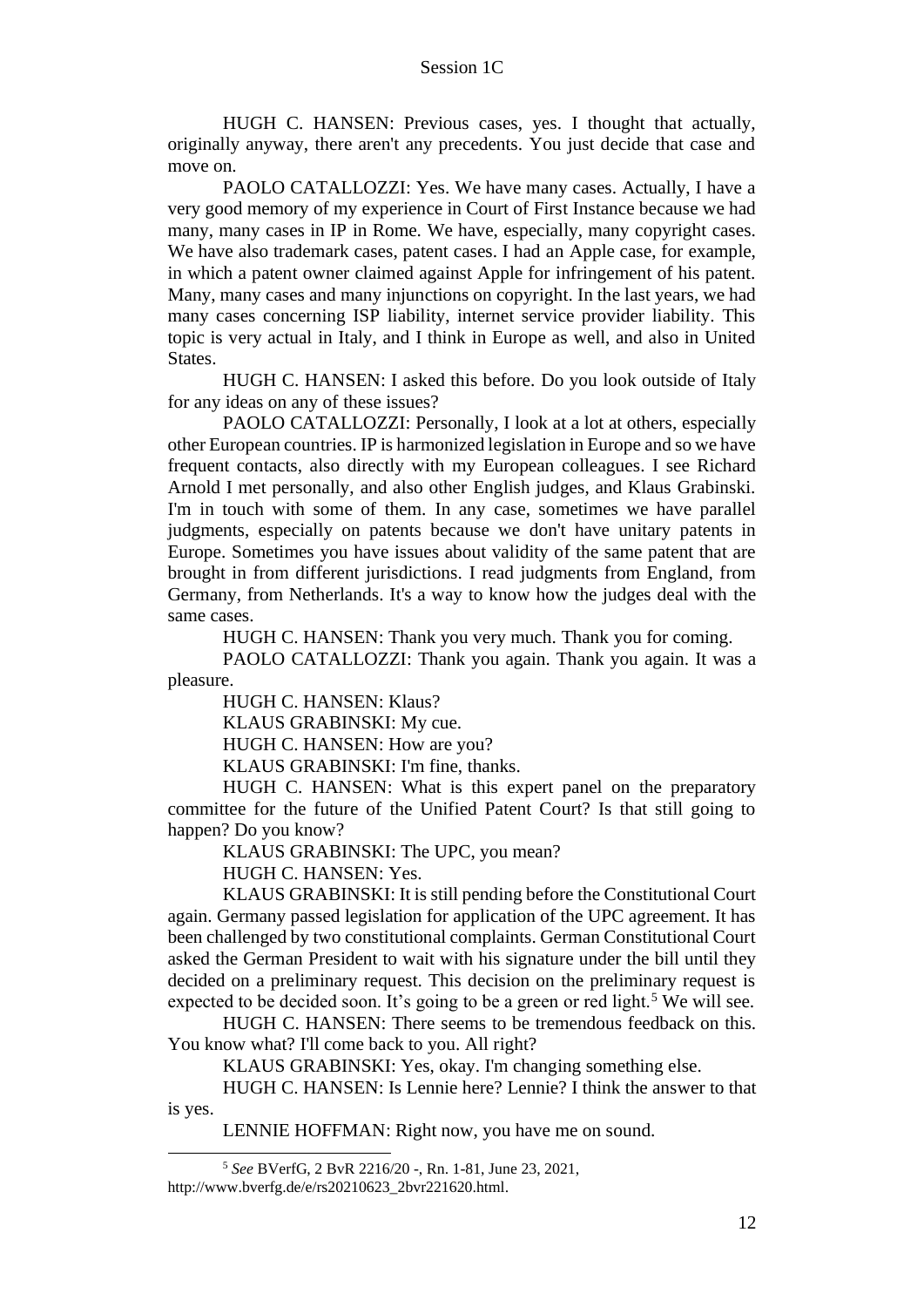HUGH C. HANSEN: Previous cases, yes. I thought that actually, originally anyway, there aren't any precedents. You just decide that case and move on.

PAOLO CATALLOZZI: Yes. We have many cases. Actually, I have a very good memory of my experience in Court of First Instance because we had many, many cases in IP in Rome. We have, especially, many copyright cases. We have also trademark cases, patent cases. I had an Apple case, for example, in which a patent owner claimed against Apple for infringement of his patent. Many, many cases and many injunctions on copyright. In the last years, we had many cases concerning ISP liability, internet service provider liability. This topic is very actual in Italy, and I think in Europe as well, and also in United States.

HUGH C. HANSEN: I asked this before. Do you look outside of Italy for any ideas on any of these issues?

PAOLO CATALLOZZI: Personally, I look at a lot at others, especially other European countries. IP is harmonized legislation in Europe and so we have frequent contacts, also directly with my European colleagues. I see Richard Arnold I met personally, and also other English judges, and Klaus Grabinski. I'm in touch with some of them. In any case, sometimes we have parallel judgments, especially on patents because we don't have unitary patents in Europe. Sometimes you have issues about validity of the same patent that are brought in from different jurisdictions. I read judgments from England, from Germany, from Netherlands. It's a way to know how the judges deal with the same cases.

HUGH C. HANSEN: Thank you very much. Thank you for coming.

PAOLO CATALLOZZI: Thank you again. Thank you again. It was a pleasure.

HUGH C. HANSEN: Klaus?

KLAUS GRABINSKI: My cue.

HUGH C. HANSEN: How are you?

KLAUS GRABINSKI: I'm fine, thanks.

HUGH C. HANSEN: What is this expert panel on the preparatory committee for the future of the Unified Patent Court? Is that still going to happen? Do you know?

KLAUS GRABINSKI: The UPC, you mean?

HUGH C. HANSEN: Yes.

KLAUS GRABINSKI: It is still pending before the Constitutional Court again. Germany passed legislation for application of the UPC agreement. It has been challenged by two constitutional complaints. German Constitutional Court asked the German President to wait with his signature under the bill until they decided on a preliminary request. This decision on the preliminary request is expected to be decided soon. It's going to be a green or red light.<sup>5</sup> We will see.

HUGH C. HANSEN: There seems to be tremendous feedback on this. You know what? I'll come back to you. All right?

KLAUS GRABINSKI: Yes, okay. I'm changing something else.

HUGH C. HANSEN: Is Lennie here? Lennie? I think the answer to that is yes.

LENNIE HOFFMAN: Right now, you have me on sound.

<sup>5</sup> *See* BVerfG, 2 BvR 2216/20 -, Rn. 1-81, June 23, 2021, http://www.bverfg.de/e/rs20210623\_2bvr221620.html.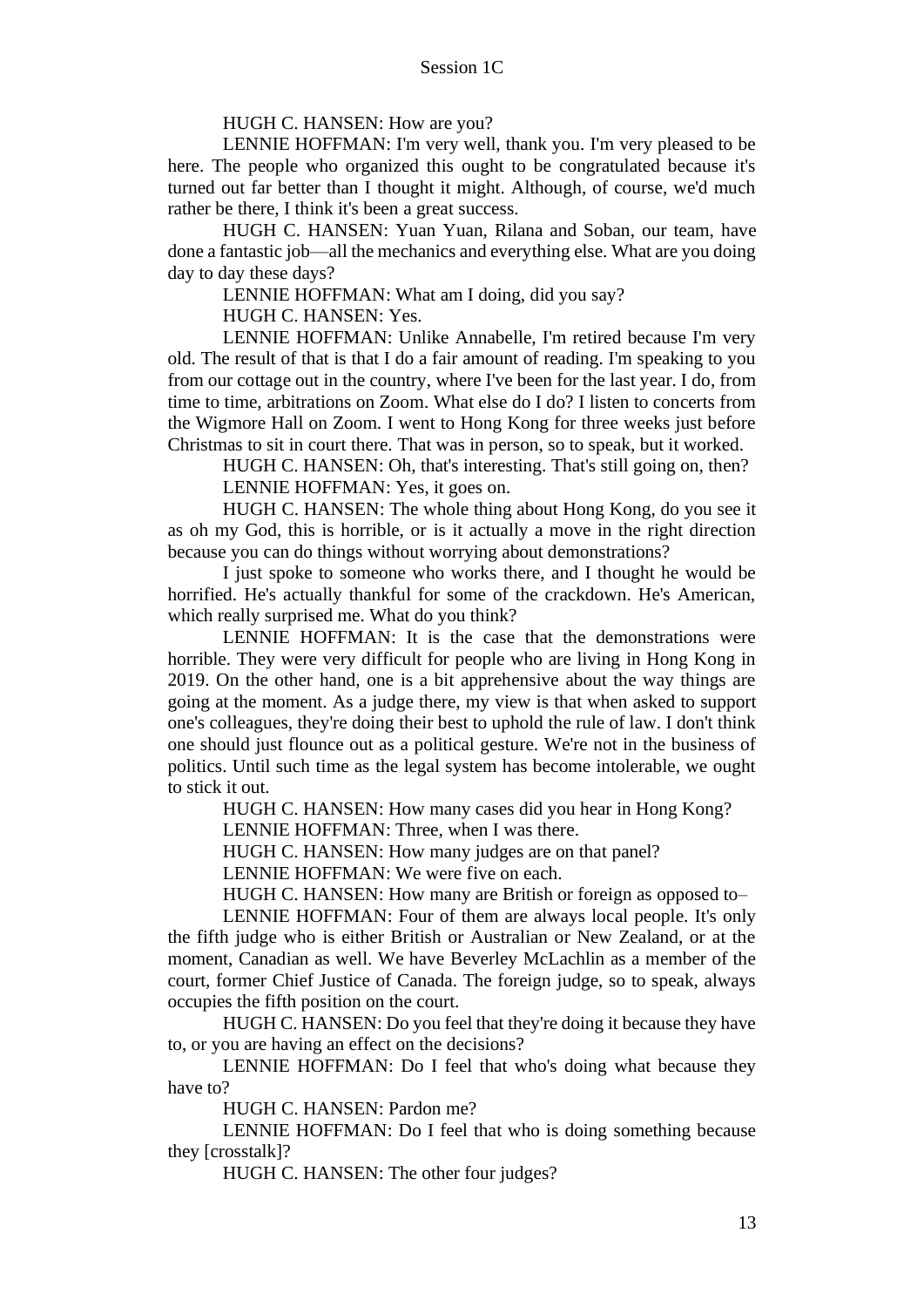## HUGH C. HANSEN: How are you?

LENNIE HOFFMAN: I'm very well, thank you. I'm very pleased to be here. The people who organized this ought to be congratulated because it's turned out far better than I thought it might. Although, of course, we'd much rather be there, I think it's been a great success.

HUGH C. HANSEN: Yuan Yuan, Rilana and Soban, our team, have done a fantastic job—all the mechanics and everything else. What are you doing day to day these days?

LENNIE HOFFMAN: What am I doing, did you say?

HUGH C. HANSEN: Yes.

LENNIE HOFFMAN: Unlike Annabelle, I'm retired because I'm very old. The result of that is that I do a fair amount of reading. I'm speaking to you from our cottage out in the country, where I've been for the last year. I do, from time to time, arbitrations on Zoom. What else do I do? I listen to concerts from the Wigmore Hall on Zoom. I went to Hong Kong for three weeks just before Christmas to sit in court there. That was in person, so to speak, but it worked.

HUGH C. HANSEN: Oh, that's interesting. That's still going on, then? LENNIE HOFFMAN: Yes, it goes on.

HUGH C. HANSEN: The whole thing about Hong Kong, do you see it as oh my God, this is horrible, or is it actually a move in the right direction because you can do things without worrying about demonstrations?

I just spoke to someone who works there, and I thought he would be horrified. He's actually thankful for some of the crackdown. He's American, which really surprised me. What do you think?

LENNIE HOFFMAN: It is the case that the demonstrations were horrible. They were very difficult for people who are living in Hong Kong in 2019. On the other hand, one is a bit apprehensive about the way things are going at the moment. As a judge there, my view is that when asked to support one's colleagues, they're doing their best to uphold the rule of law. I don't think one should just flounce out as a political gesture. We're not in the business of politics. Until such time as the legal system has become intolerable, we ought to stick it out.

HUGH C. HANSEN: How many cases did you hear in Hong Kong?

LENNIE HOFFMAN: Three, when I was there.

HUGH C. HANSEN: How many judges are on that panel?

LENNIE HOFFMAN: We were five on each.

HUGH C. HANSEN: How many are British or foreign as opposed to–

LENNIE HOFFMAN: Four of them are always local people. It's only the fifth judge who is either British or Australian or New Zealand, or at the moment, Canadian as well. We have Beverley McLachlin as a member of the court, former Chief Justice of Canada. The foreign judge, so to speak, always occupies the fifth position on the court.

HUGH C. HANSEN: Do you feel that they're doing it because they have to, or you are having an effect on the decisions?

LENNIE HOFFMAN: Do I feel that who's doing what because they have to?

HUGH C. HANSEN: Pardon me?

LENNIE HOFFMAN: Do I feel that who is doing something because they [crosstalk]?

HUGH C. HANSEN: The other four judges?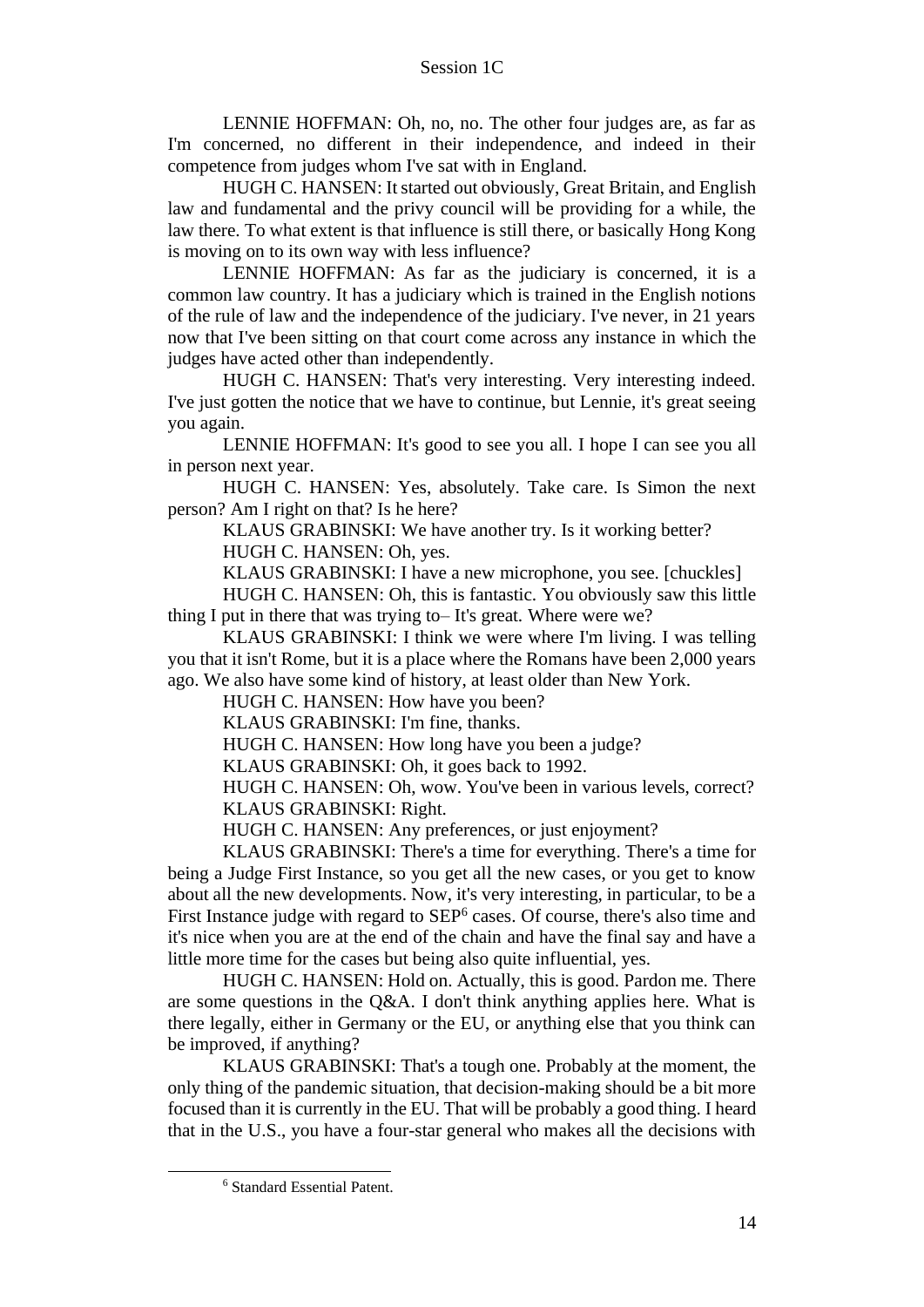LENNIE HOFFMAN: Oh, no, no. The other four judges are, as far as I'm concerned, no different in their independence, and indeed in their competence from judges whom I've sat with in England.

HUGH C. HANSEN: It started out obviously, Great Britain, and English law and fundamental and the privy council will be providing for a while, the law there. To what extent is that influence is still there, or basically Hong Kong is moving on to its own way with less influence?

LENNIE HOFFMAN: As far as the judiciary is concerned, it is a common law country. It has a judiciary which is trained in the English notions of the rule of law and the independence of the judiciary. I've never, in 21 years now that I've been sitting on that court come across any instance in which the judges have acted other than independently.

HUGH C. HANSEN: That's very interesting. Very interesting indeed. I've just gotten the notice that we have to continue, but Lennie, it's great seeing you again.

LENNIE HOFFMAN: It's good to see you all. I hope I can see you all in person next year.

HUGH C. HANSEN: Yes, absolutely. Take care. Is Simon the next person? Am I right on that? Is he here?

KLAUS GRABINSKI: We have another try. Is it working better?

HUGH C. HANSEN: Oh, yes.

KLAUS GRABINSKI: I have a new microphone, you see. [chuckles]

HUGH C. HANSEN: Oh, this is fantastic. You obviously saw this little thing I put in there that was trying to– It's great. Where were we?

KLAUS GRABINSKI: I think we were where I'm living. I was telling you that it isn't Rome, but it is a place where the Romans have been 2,000 years ago. We also have some kind of history, at least older than New York.

HUGH C. HANSEN: How have you been?

KLAUS GRABINSKI: I'm fine, thanks.

HUGH C. HANSEN: How long have you been a judge?

KLAUS GRABINSKI: Oh, it goes back to 1992.

HUGH C. HANSEN: Oh, wow. You've been in various levels, correct? KLAUS GRABINSKI: Right.

HUGH C. HANSEN: Any preferences, or just enjoyment?

KLAUS GRABINSKI: There's a time for everything. There's a time for being a Judge First Instance, so you get all the new cases, or you get to know about all the new developments. Now, it's very interesting, in particular, to be a First Instance judge with regard to SEP<sup>6</sup> cases. Of course, there's also time and it's nice when you are at the end of the chain and have the final say and have a little more time for the cases but being also quite influential, yes.

HUGH C. HANSEN: Hold on. Actually, this is good. Pardon me. There are some questions in the Q&A. I don't think anything applies here. What is there legally, either in Germany or the EU, or anything else that you think can be improved, if anything?

KLAUS GRABINSKI: That's a tough one. Probably at the moment, the only thing of the pandemic situation, that decision-making should be a bit more focused than it is currently in the EU. That will be probably a good thing. I heard that in the U.S., you have a four-star general who makes all the decisions with

<sup>6</sup> Standard Essential Patent.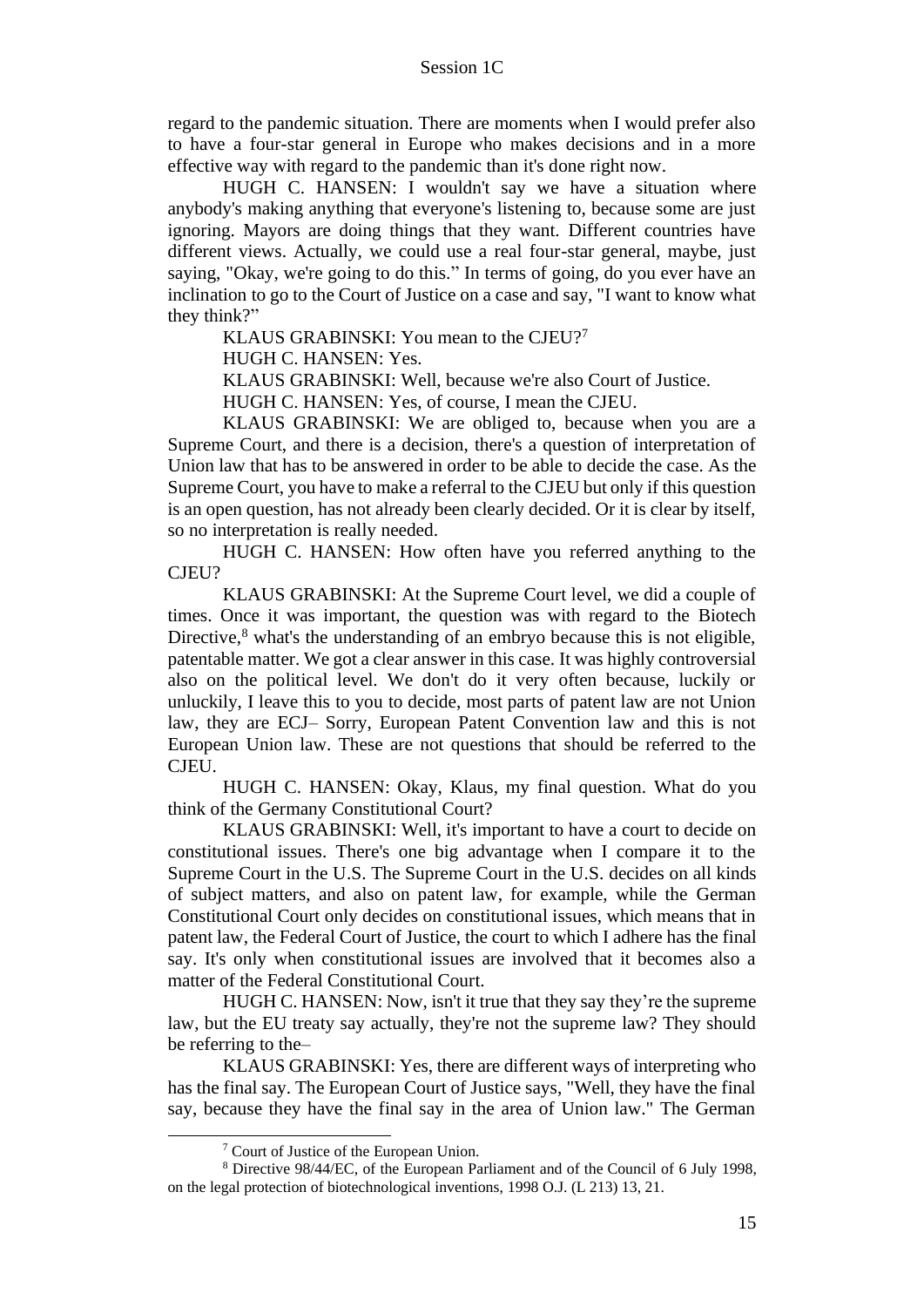regard to the pandemic situation. There are moments when I would prefer also to have a four-star general in Europe who makes decisions and in a more effective way with regard to the pandemic than it's done right now.

HUGH C. HANSEN: I wouldn't say we have a situation where anybody's making anything that everyone's listening to, because some are just ignoring. Mayors are doing things that they want. Different countries have different views. Actually, we could use a real four-star general, maybe, just saying, "Okay, we're going to do this." In terms of going, do you ever have an inclination to go to the Court of Justice on a case and say, "I want to know what they think?"

KLAUS GRABINSKI: You mean to the CJEU?<sup>7</sup>

HUGH C. HANSEN: Yes.

KLAUS GRABINSKI: Well, because we're also Court of Justice.

HUGH C. HANSEN: Yes, of course, I mean the CJEU.

KLAUS GRABINSKI: We are obliged to, because when you are a Supreme Court, and there is a decision, there's a question of interpretation of Union law that has to be answered in order to be able to decide the case. As the Supreme Court, you have to make a referral to the CJEU but only if this question is an open question, has not already been clearly decided. Or it is clear by itself, so no interpretation is really needed.

HUGH C. HANSEN: How often have you referred anything to the CJEU?

KLAUS GRABINSKI: At the Supreme Court level, we did a couple of times. Once it was important, the question was with regard to the Biotech Directive, $8$  what's the understanding of an embryo because this is not eligible, patentable matter. We got a clear answer in this case. It was highly controversial also on the political level. We don't do it very often because, luckily or unluckily, I leave this to you to decide, most parts of patent law are not Union law, they are ECJ– Sorry, European Patent Convention law and this is not European Union law. These are not questions that should be referred to the CJEU.

HUGH C. HANSEN: Okay, Klaus, my final question. What do you think of the Germany Constitutional Court?

KLAUS GRABINSKI: Well, it's important to have a court to decide on constitutional issues. There's one big advantage when I compare it to the Supreme Court in the U.S. The Supreme Court in the U.S. decides on all kinds of subject matters, and also on patent law, for example, while the German Constitutional Court only decides on constitutional issues, which means that in patent law, the Federal Court of Justice, the court to which I adhere has the final say. It's only when constitutional issues are involved that it becomes also a matter of the Federal Constitutional Court.

HUGH C. HANSEN: Now, isn't it true that they say they're the supreme law, but the EU treaty say actually, they're not the supreme law? They should be referring to the–

KLAUS GRABINSKI: Yes, there are different ways of interpreting who has the final say. The European Court of Justice says, "Well, they have the final say, because they have the final say in the area of Union law." The German

<sup>7</sup> Court of Justice of the European Union.

<sup>8</sup> Directive 98/44/EC, of the European Parliament and of the Council of 6 July 1998, on the legal protection of biotechnological inventions, 1998 O.J. (L 213) 13, 21.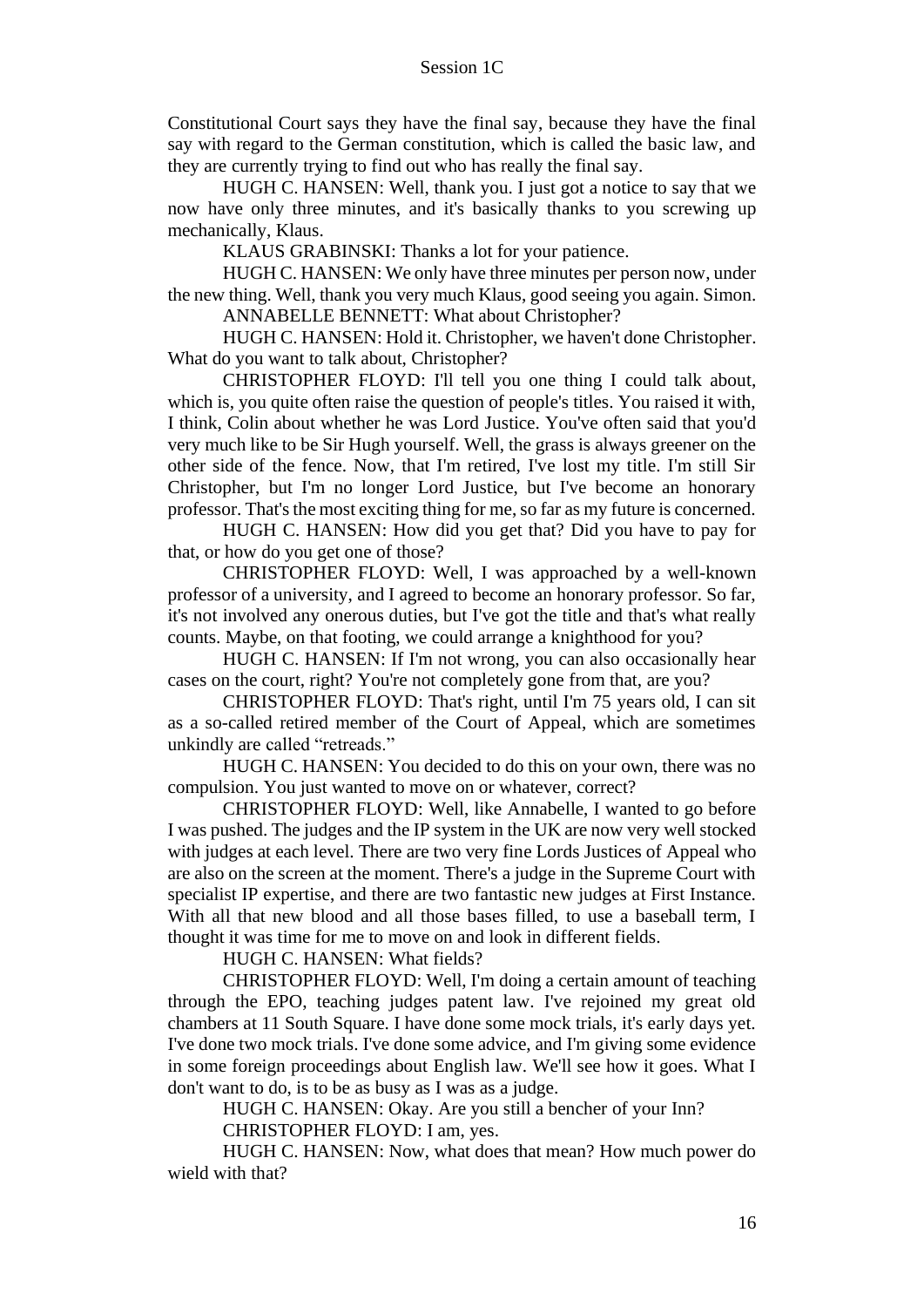Constitutional Court says they have the final say, because they have the final say with regard to the German constitution, which is called the basic law, and they are currently trying to find out who has really the final say.

HUGH C. HANSEN: Well, thank you. I just got a notice to say that we now have only three minutes, and it's basically thanks to you screwing up mechanically, Klaus.

KLAUS GRABINSKI: Thanks a lot for your patience.

HUGH C. HANSEN: We only have three minutes per person now, under the new thing. Well, thank you very much Klaus, good seeing you again. Simon. ANNABELLE BENNETT: What about Christopher?

HUGH C. HANSEN: Hold it. Christopher, we haven't done Christopher. What do you want to talk about, Christopher?

CHRISTOPHER FLOYD: I'll tell you one thing I could talk about, which is, you quite often raise the question of people's titles. You raised it with, I think, Colin about whether he was Lord Justice. You've often said that you'd very much like to be Sir Hugh yourself. Well, the grass is always greener on the other side of the fence. Now, that I'm retired, I've lost my title. I'm still Sir Christopher, but I'm no longer Lord Justice, but I've become an honorary professor. That's the most exciting thing for me, so far as my future is concerned.

HUGH C. HANSEN: How did you get that? Did you have to pay for that, or how do you get one of those?

CHRISTOPHER FLOYD: Well, I was approached by a well-known professor of a university, and I agreed to become an honorary professor. So far, it's not involved any onerous duties, but I've got the title and that's what really counts. Maybe, on that footing, we could arrange a knighthood for you?

HUGH C. HANSEN: If I'm not wrong, you can also occasionally hear cases on the court, right? You're not completely gone from that, are you?

CHRISTOPHER FLOYD: That's right, until I'm 75 years old, I can sit as a so-called retired member of the Court of Appeal, which are sometimes unkindly are called "retreads."

HUGH C. HANSEN: You decided to do this on your own, there was no compulsion. You just wanted to move on or whatever, correct?

CHRISTOPHER FLOYD: Well, like Annabelle, I wanted to go before I was pushed. The judges and the IP system in the UK are now very well stocked with judges at each level. There are two very fine Lords Justices of Appeal who are also on the screen at the moment. There's a judge in the Supreme Court with specialist IP expertise, and there are two fantastic new judges at First Instance. With all that new blood and all those bases filled, to use a baseball term, I thought it was time for me to move on and look in different fields.

HUGH C. HANSEN: What fields?

CHRISTOPHER FLOYD: Well, I'm doing a certain amount of teaching through the EPO, teaching judges patent law. I've rejoined my great old chambers at 11 South Square. I have done some mock trials, it's early days yet. I've done two mock trials. I've done some advice, and I'm giving some evidence in some foreign proceedings about English law. We'll see how it goes. What I don't want to do, is to be as busy as I was as a judge.

HUGH C. HANSEN: Okay. Are you still a bencher of your Inn?

CHRISTOPHER FLOYD: I am, yes.

HUGH C. HANSEN: Now, what does that mean? How much power do wield with that?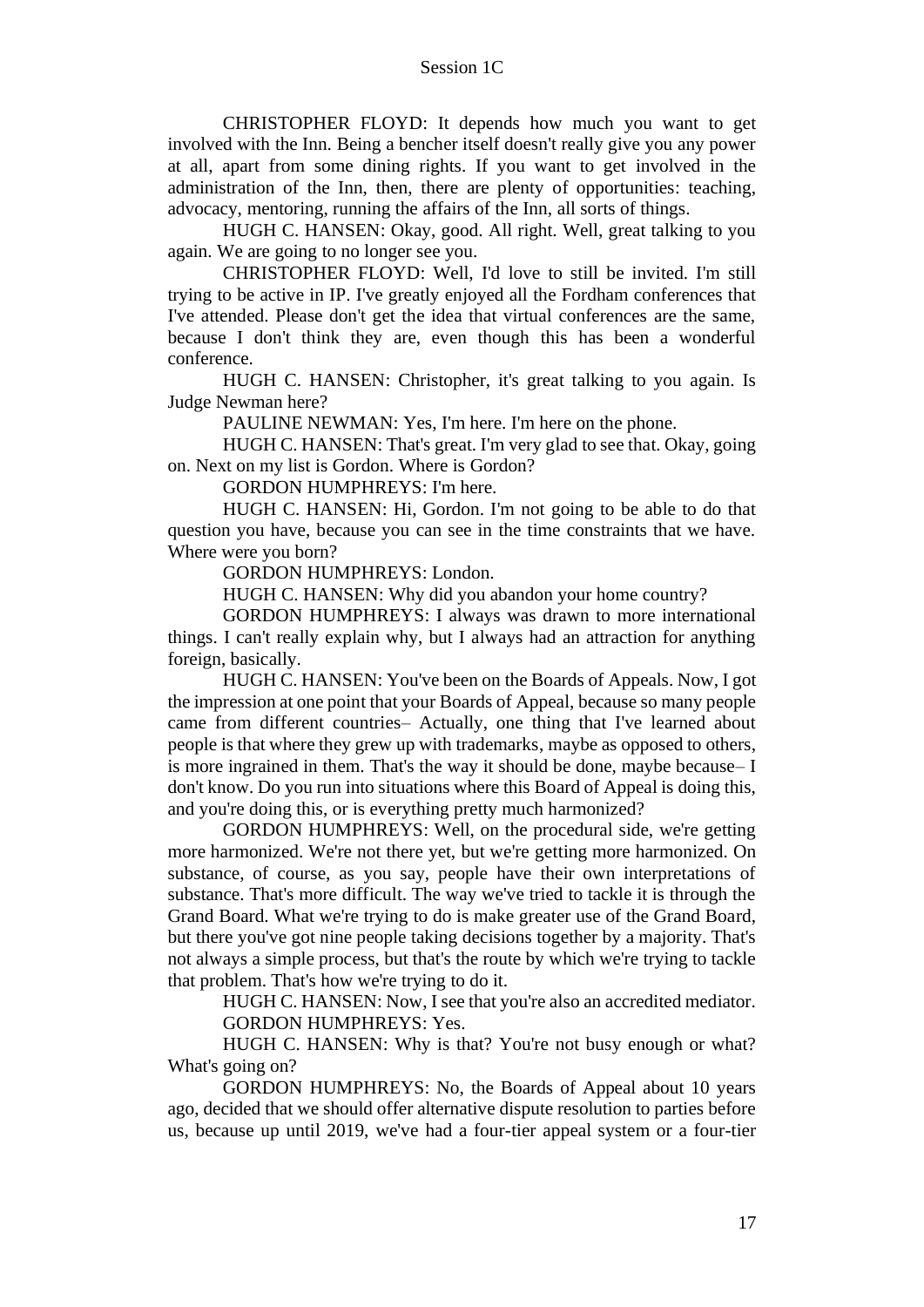CHRISTOPHER FLOYD: It depends how much you want to get involved with the Inn. Being a bencher itself doesn't really give you any power at all, apart from some dining rights. If you want to get involved in the administration of the Inn, then, there are plenty of opportunities: teaching, advocacy, mentoring, running the affairs of the Inn, all sorts of things.

HUGH C. HANSEN: Okay, good. All right. Well, great talking to you again. We are going to no longer see you.

CHRISTOPHER FLOYD: Well, I'd love to still be invited. I'm still trying to be active in IP. I've greatly enjoyed all the Fordham conferences that I've attended. Please don't get the idea that virtual conferences are the same, because I don't think they are, even though this has been a wonderful conference.

HUGH C. HANSEN: Christopher, it's great talking to you again. Is Judge Newman here?

PAULINE NEWMAN: Yes, I'm here. I'm here on the phone.

HUGH C. HANSEN: That's great. I'm very glad to see that. Okay, going on. Next on my list is Gordon. Where is Gordon?

GORDON HUMPHREYS: I'm here.

HUGH C. HANSEN: Hi, Gordon. I'm not going to be able to do that question you have, because you can see in the time constraints that we have. Where were you born?

GORDON HUMPHREYS: London.

HUGH C. HANSEN: Why did you abandon your home country?

GORDON HUMPHREYS: I always was drawn to more international things. I can't really explain why, but I always had an attraction for anything foreign, basically.

HUGH C. HANSEN: You've been on the Boards of Appeals. Now, I got the impression at one point that your Boards of Appeal, because so many people came from different countries– Actually, one thing that I've learned about people is that where they grew up with trademarks, maybe as opposed to others, is more ingrained in them. That's the way it should be done, maybe because– I don't know. Do you run into situations where this Board of Appeal is doing this, and you're doing this, or is everything pretty much harmonized?

GORDON HUMPHREYS: Well, on the procedural side, we're getting more harmonized. We're not there yet, but we're getting more harmonized. On substance, of course, as you say, people have their own interpretations of substance. That's more difficult. The way we've tried to tackle it is through the Grand Board. What we're trying to do is make greater use of the Grand Board, but there you've got nine people taking decisions together by a majority. That's not always a simple process, but that's the route by which we're trying to tackle that problem. That's how we're trying to do it.

HUGH C. HANSEN: Now, I see that you're also an accredited mediator. GORDON HUMPHREYS: Yes.

HUGH C. HANSEN: Why is that? You're not busy enough or what? What's going on?

GORDON HUMPHREYS: No, the Boards of Appeal about 10 years ago, decided that we should offer alternative dispute resolution to parties before us, because up until 2019, we've had a four-tier appeal system or a four-tier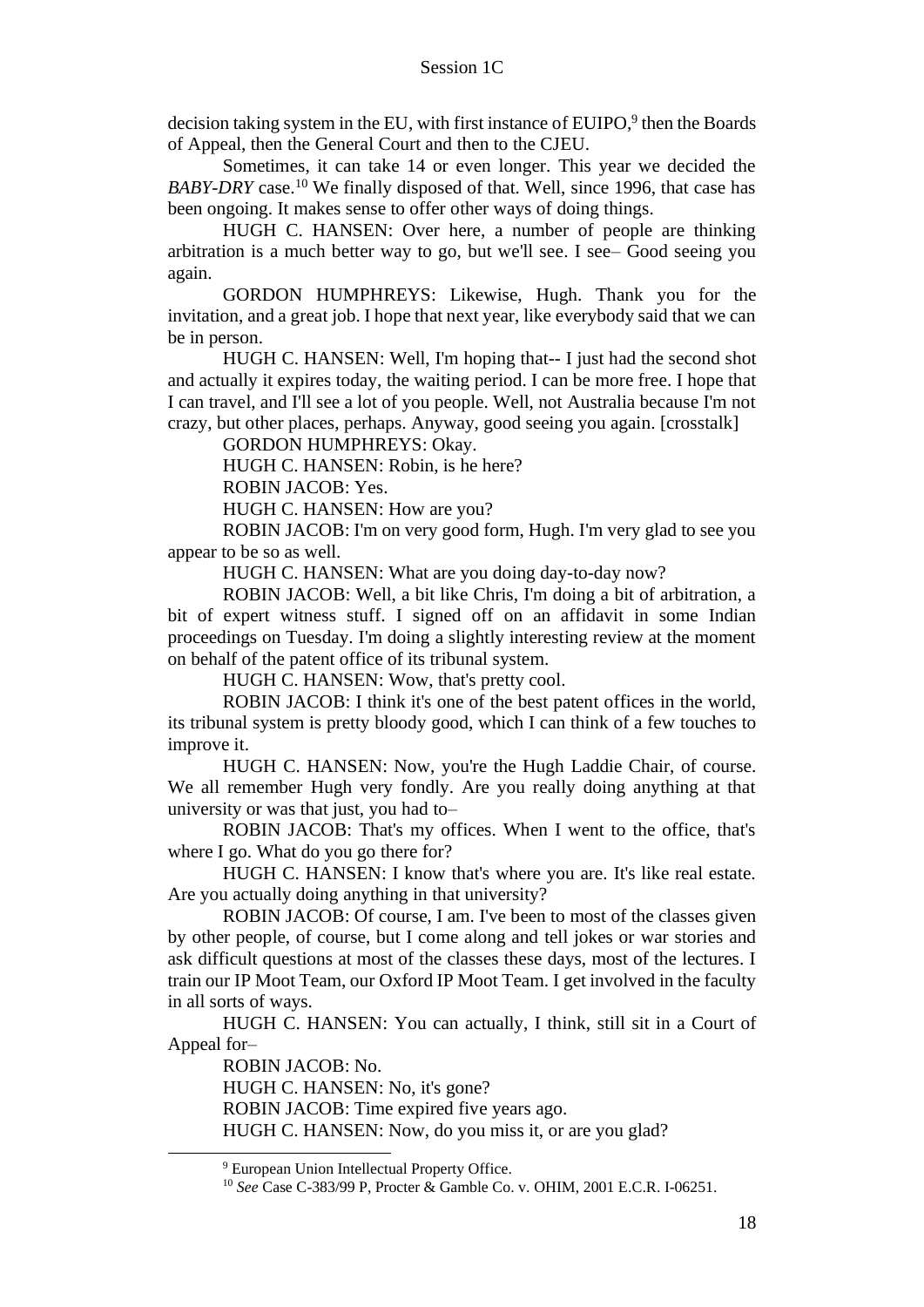decision taking system in the EU, with first instance of EUIPO,<sup>9</sup> then the Boards of Appeal, then the General Court and then to the CJEU.

Sometimes, it can take 14 or even longer. This year we decided the *BABY-DRY* case.<sup>10</sup> We finally disposed of that. Well, since 1996, that case has been ongoing. It makes sense to offer other ways of doing things.

HUGH C. HANSEN: Over here, a number of people are thinking arbitration is a much better way to go, but we'll see. I see– Good seeing you again.

GORDON HUMPHREYS: Likewise, Hugh. Thank you for the invitation, and a great job. I hope that next year, like everybody said that we can be in person.

HUGH C. HANSEN: Well, I'm hoping that-- I just had the second shot and actually it expires today, the waiting period. I can be more free. I hope that I can travel, and I'll see a lot of you people. Well, not Australia because I'm not crazy, but other places, perhaps. Anyway, good seeing you again. [crosstalk]

GORDON HUMPHREYS: Okay.

HUGH C. HANSEN: Robin, is he here?

ROBIN JACOB: Yes.

HUGH C. HANSEN: How are you?

ROBIN JACOB: I'm on very good form, Hugh. I'm very glad to see you appear to be so as well.

HUGH C. HANSEN: What are you doing day-to-day now?

ROBIN JACOB: Well, a bit like Chris, I'm doing a bit of arbitration, a bit of expert witness stuff. I signed off on an affidavit in some Indian proceedings on Tuesday. I'm doing a slightly interesting review at the moment on behalf of the patent office of its tribunal system.

HUGH C. HANSEN: Wow, that's pretty cool.

ROBIN JACOB: I think it's one of the best patent offices in the world, its tribunal system is pretty bloody good, which I can think of a few touches to improve it.

HUGH C. HANSEN: Now, you're the Hugh Laddie Chair, of course. We all remember Hugh very fondly. Are you really doing anything at that university or was that just, you had to–

ROBIN JACOB: That's my offices. When I went to the office, that's where I go. What do you go there for?

HUGH C. HANSEN: I know that's where you are. It's like real estate. Are you actually doing anything in that university?

ROBIN JACOB: Of course, I am. I've been to most of the classes given by other people, of course, but I come along and tell jokes or war stories and ask difficult questions at most of the classes these days, most of the lectures. I train our IP Moot Team, our Oxford IP Moot Team. I get involved in the faculty in all sorts of ways.

HUGH C. HANSEN: You can actually, I think, still sit in a Court of Appeal for–

ROBIN JACOB: No.

HUGH C. HANSEN: No, it's gone?

ROBIN JACOB: Time expired five years ago.

HUGH C. HANSEN: Now, do you miss it, or are you glad?

<sup>&</sup>lt;sup>9</sup> European Union Intellectual Property Office.

<sup>10</sup> *See* Case C-383/99 P, Procter & Gamble Co. v. OHIM, 2001 E.C.R. I-06251.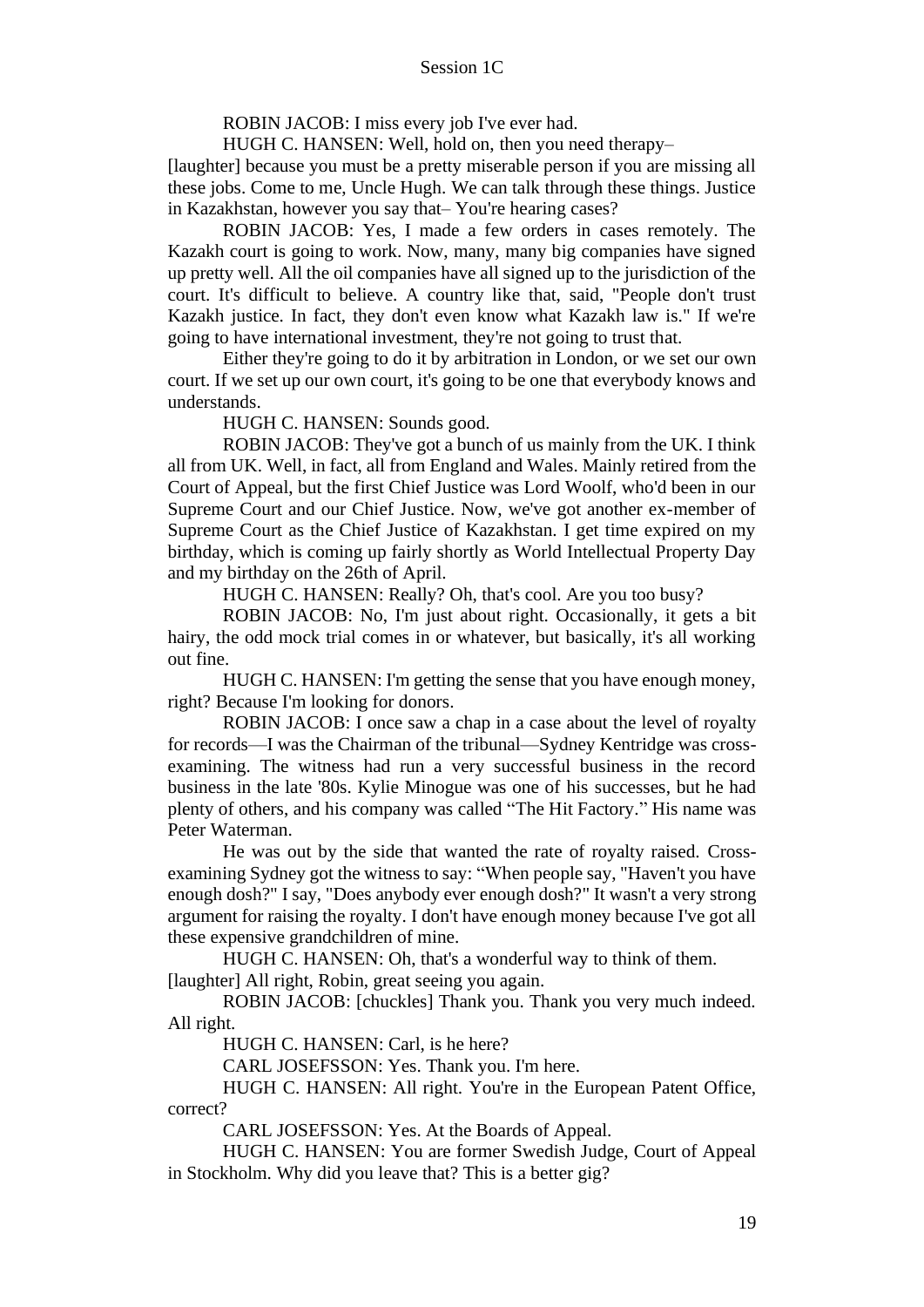ROBIN JACOB: I miss every job I've ever had.

HUGH C. HANSEN: Well, hold on, then you need therapy–

[laughter] because you must be a pretty miserable person if you are missing all these jobs. Come to me, Uncle Hugh. We can talk through these things. Justice in Kazakhstan, however you say that– You're hearing cases?

ROBIN JACOB: Yes, I made a few orders in cases remotely. The Kazakh court is going to work. Now, many, many big companies have signed up pretty well. All the oil companies have all signed up to the jurisdiction of the court. It's difficult to believe. A country like that, said, "People don't trust Kazakh justice. In fact, they don't even know what Kazakh law is." If we're going to have international investment, they're not going to trust that.

Either they're going to do it by arbitration in London, or we set our own court. If we set up our own court, it's going to be one that everybody knows and understands.

HUGH C. HANSEN: Sounds good.

ROBIN JACOB: They've got a bunch of us mainly from the UK. I think all from UK. Well, in fact, all from England and Wales. Mainly retired from the Court of Appeal, but the first Chief Justice was Lord Woolf, who'd been in our Supreme Court and our Chief Justice. Now, we've got another ex-member of Supreme Court as the Chief Justice of Kazakhstan. I get time expired on my birthday, which is coming up fairly shortly as World Intellectual Property Day and my birthday on the 26th of April.

HUGH C. HANSEN: Really? Oh, that's cool. Are you too busy?

ROBIN JACOB: No, I'm just about right. Occasionally, it gets a bit hairy, the odd mock trial comes in or whatever, but basically, it's all working out fine.

HUGH C. HANSEN: I'm getting the sense that you have enough money, right? Because I'm looking for donors.

ROBIN JACOB: I once saw a chap in a case about the level of royalty for records—I was the Chairman of the tribunal—Sydney Kentridge was crossexamining. The witness had run a very successful business in the record business in the late '80s. Kylie Minogue was one of his successes, but he had plenty of others, and his company was called "The Hit Factory." His name was Peter Waterman.

He was out by the side that wanted the rate of royalty raised. Crossexamining Sydney got the witness to say: "When people say, "Haven't you have enough dosh?" I say, "Does anybody ever enough dosh?" It wasn't a very strong argument for raising the royalty. I don't have enough money because I've got all these expensive grandchildren of mine.

HUGH C. HANSEN: Oh, that's a wonderful way to think of them. [laughter] All right, Robin, great seeing you again.

ROBIN JACOB: [chuckles] Thank you. Thank you very much indeed. All right.

HUGH C. HANSEN: Carl, is he here?

CARL JOSEFSSON: Yes. Thank you. I'm here.

HUGH C. HANSEN: All right. You're in the European Patent Office, correct?

CARL JOSEFSSON: Yes. At the Boards of Appeal.

HUGH C. HANSEN: You are former Swedish Judge, Court of Appeal in Stockholm. Why did you leave that? This is a better gig?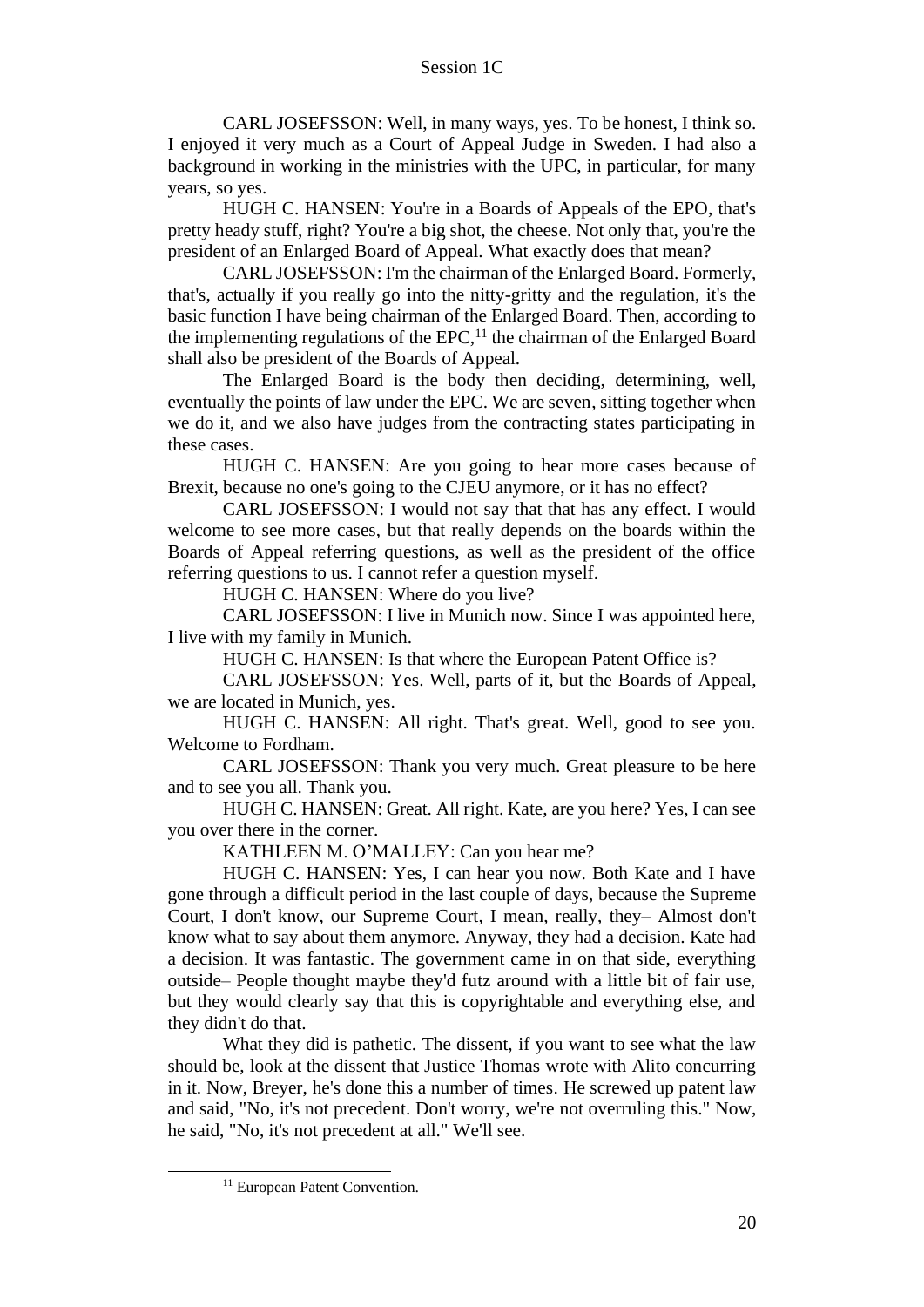CARL JOSEFSSON: Well, in many ways, yes. To be honest, I think so. I enjoyed it very much as a Court of Appeal Judge in Sweden. I had also a background in working in the ministries with the UPC, in particular, for many years, so yes.

HUGH C. HANSEN: You're in a Boards of Appeals of the EPO, that's pretty heady stuff, right? You're a big shot, the cheese. Not only that, you're the president of an Enlarged Board of Appeal. What exactly does that mean?

CARL JOSEFSSON: I'm the chairman of the Enlarged Board. Formerly, that's, actually if you really go into the nitty-gritty and the regulation, it's the basic function I have being chairman of the Enlarged Board. Then, according to the implementing regulations of the EPC,<sup>11</sup> the chairman of the Enlarged Board shall also be president of the Boards of Appeal.

The Enlarged Board is the body then deciding, determining, well, eventually the points of law under the EPC. We are seven, sitting together when we do it, and we also have judges from the contracting states participating in these cases.

HUGH C. HANSEN: Are you going to hear more cases because of Brexit, because no one's going to the CJEU anymore, or it has no effect?

CARL JOSEFSSON: I would not say that that has any effect. I would welcome to see more cases, but that really depends on the boards within the Boards of Appeal referring questions, as well as the president of the office referring questions to us. I cannot refer a question myself.

HUGH C. HANSEN: Where do you live?

CARL JOSEFSSON: I live in Munich now. Since I was appointed here, I live with my family in Munich.

HUGH C. HANSEN: Is that where the European Patent Office is?

CARL JOSEFSSON: Yes. Well, parts of it, but the Boards of Appeal, we are located in Munich, yes.

HUGH C. HANSEN: All right. That's great. Well, good to see you. Welcome to Fordham.

CARL JOSEFSSON: Thank you very much. Great pleasure to be here and to see you all. Thank you.

HUGH C. HANSEN: Great. All right. Kate, are you here? Yes, I can see you over there in the corner.

KATHLEEN M. O'MALLEY: Can you hear me?

HUGH C. HANSEN: Yes, I can hear you now. Both Kate and I have gone through a difficult period in the last couple of days, because the Supreme Court, I don't know, our Supreme Court, I mean, really, they– Almost don't know what to say about them anymore. Anyway, they had a decision. Kate had a decision. It was fantastic. The government came in on that side, everything outside– People thought maybe they'd futz around with a little bit of fair use, but they would clearly say that this is copyrightable and everything else, and they didn't do that.

What they did is pathetic. The dissent, if you want to see what the law should be, look at the dissent that Justice Thomas wrote with Alito concurring in it. Now, Breyer, he's done this a number of times. He screwed up patent law and said, "No, it's not precedent. Don't worry, we're not overruling this." Now, he said, "No, it's not precedent at all." We'll see.

<sup>&</sup>lt;sup>11</sup> European Patent Convention.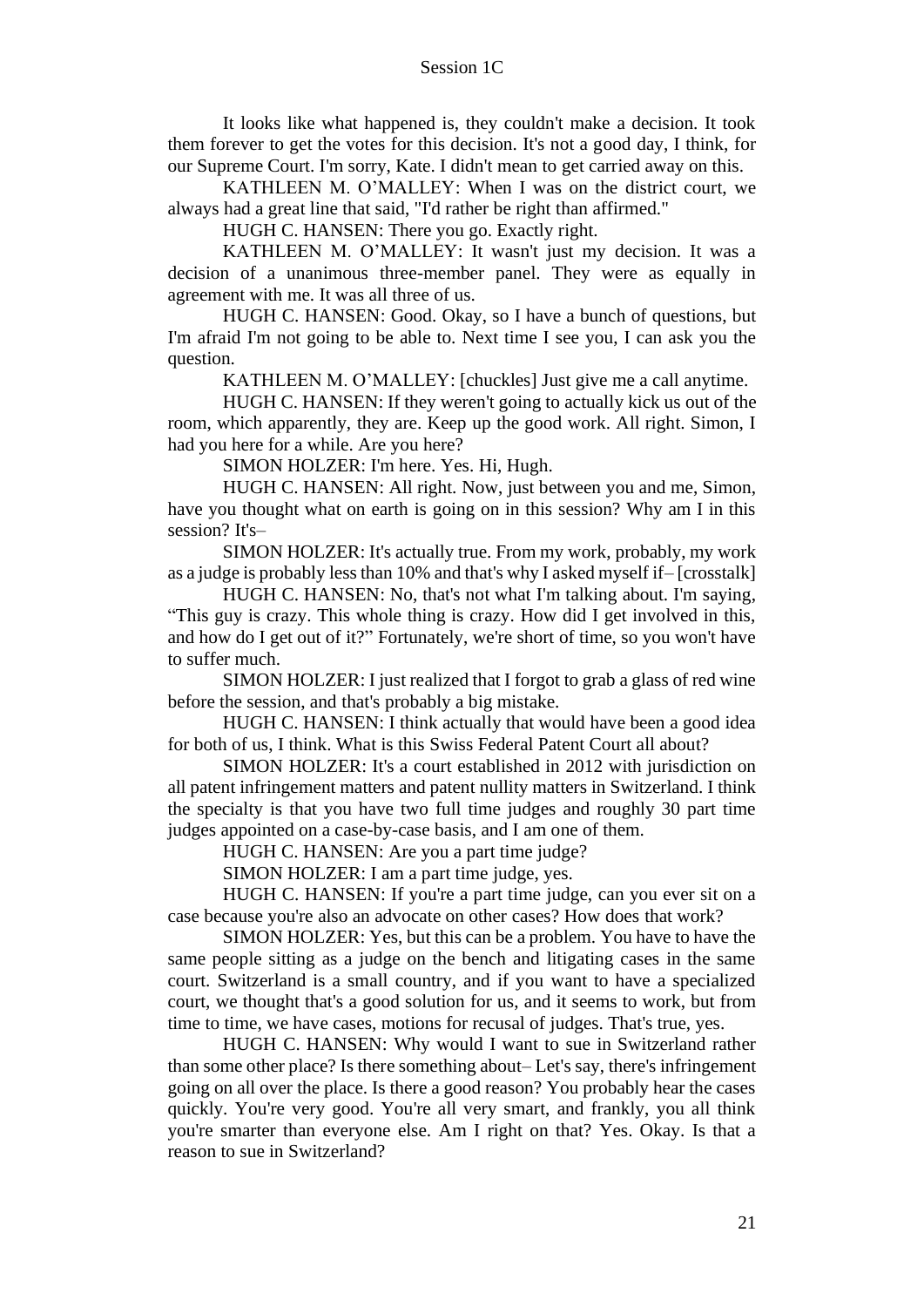It looks like what happened is, they couldn't make a decision. It took them forever to get the votes for this decision. It's not a good day, I think, for our Supreme Court. I'm sorry, Kate. I didn't mean to get carried away on this.

KATHLEEN M. O'MALLEY: When I was on the district court, we always had a great line that said, "I'd rather be right than affirmed."

HUGH C. HANSEN: There you go. Exactly right.

KATHLEEN M. O'MALLEY: It wasn't just my decision. It was a decision of a unanimous three-member panel. They were as equally in agreement with me. It was all three of us.

HUGH C. HANSEN: Good. Okay, so I have a bunch of questions, but I'm afraid I'm not going to be able to. Next time I see you, I can ask you the question.

KATHLEEN M. O'MALLEY: [chuckles] Just give me a call anytime.

HUGH C. HANSEN: If they weren't going to actually kick us out of the room, which apparently, they are. Keep up the good work. All right. Simon, I had you here for a while. Are you here?

SIMON HOLZER: I'm here. Yes. Hi, Hugh.

HUGH C. HANSEN: All right. Now, just between you and me, Simon, have you thought what on earth is going on in this session? Why am I in this session? It's–

SIMON HOLZER: It's actually true. From my work, probably, my work as a judge is probably less than 10% and that's why I asked myself if– [crosstalk]

HUGH C. HANSEN: No, that's not what I'm talking about. I'm saying, "This guy is crazy. This whole thing is crazy. How did I get involved in this, and how do I get out of it?" Fortunately, we're short of time, so you won't have to suffer much.

SIMON HOLZER: I just realized that I forgot to grab a glass of red wine before the session, and that's probably a big mistake.

HUGH C. HANSEN: I think actually that would have been a good idea for both of us, I think. What is this Swiss Federal Patent Court all about?

SIMON HOLZER: It's a court established in 2012 with jurisdiction on all patent infringement matters and patent nullity matters in Switzerland. I think the specialty is that you have two full time judges and roughly 30 part time judges appointed on a case-by-case basis, and I am one of them.

HUGH C. HANSEN: Are you a part time judge?

SIMON HOLZER: I am a part time judge, yes.

HUGH C. HANSEN: If you're a part time judge, can you ever sit on a case because you're also an advocate on other cases? How does that work?

SIMON HOLZER: Yes, but this can be a problem. You have to have the same people sitting as a judge on the bench and litigating cases in the same court. Switzerland is a small country, and if you want to have a specialized court, we thought that's a good solution for us, and it seems to work, but from time to time, we have cases, motions for recusal of judges. That's true, yes.

HUGH C. HANSEN: Why would I want to sue in Switzerland rather than some other place? Is there something about– Let's say, there's infringement going on all over the place. Is there a good reason? You probably hear the cases quickly. You're very good. You're all very smart, and frankly, you all think you're smarter than everyone else. Am I right on that? Yes. Okay. Is that a reason to sue in Switzerland?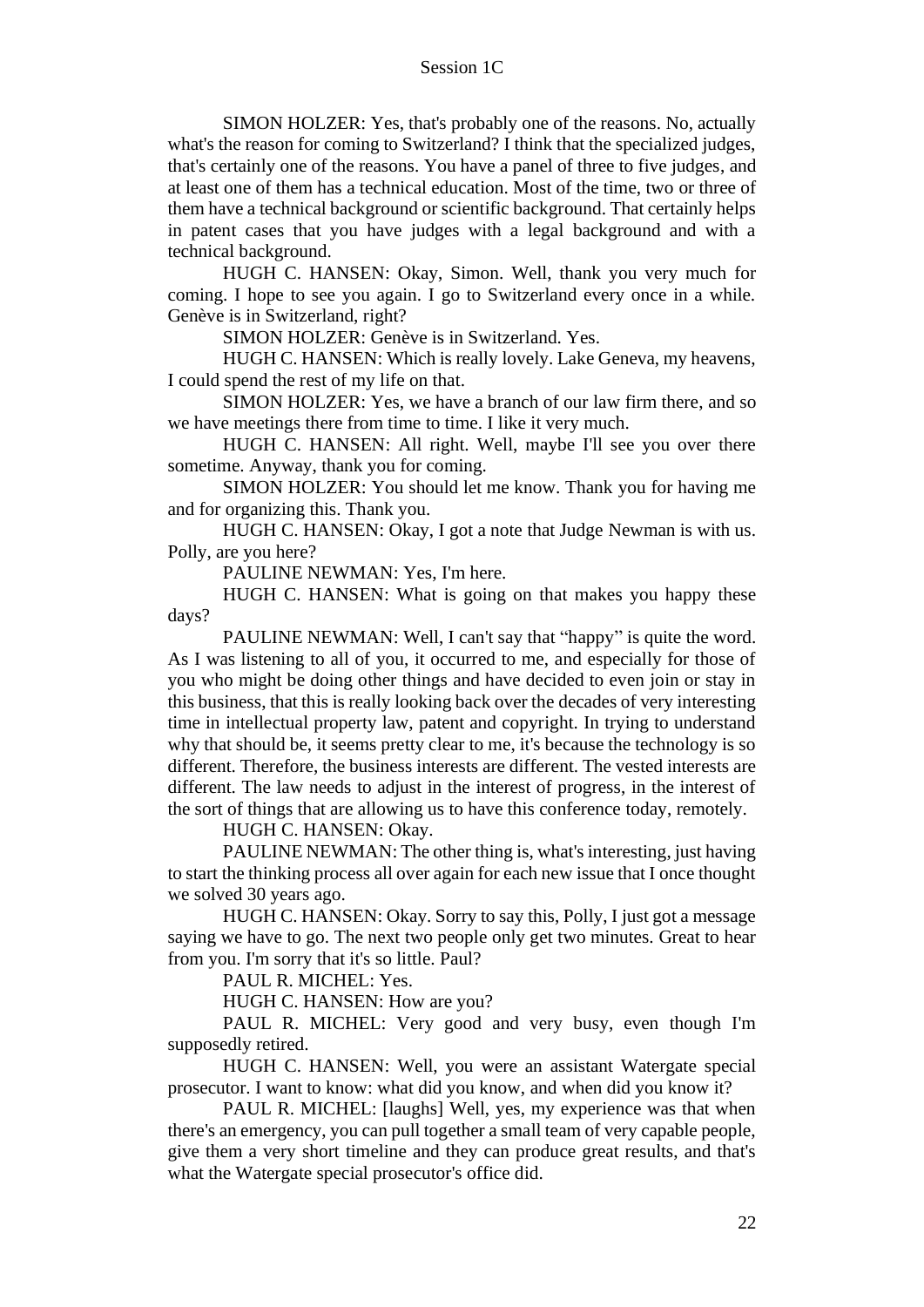SIMON HOLZER: Yes, that's probably one of the reasons. No, actually what's the reason for coming to Switzerland? I think that the specialized judges, that's certainly one of the reasons. You have a panel of three to five judges, and at least one of them has a technical education. Most of the time, two or three of them have a technical background or scientific background. That certainly helps in patent cases that you have judges with a legal background and with a technical background.

HUGH C. HANSEN: Okay, Simon. Well, thank you very much for coming. I hope to see you again. I go to Switzerland every once in a while. Genève is in Switzerland, right?

SIMON HOLZER: Genève is in Switzerland. Yes.

HUGH C. HANSEN: Which is really lovely. Lake Geneva, my heavens, I could spend the rest of my life on that.

SIMON HOLZER: Yes, we have a branch of our law firm there, and so we have meetings there from time to time. I like it very much.

HUGH C. HANSEN: All right. Well, maybe I'll see you over there sometime. Anyway, thank you for coming.

SIMON HOLZER: You should let me know. Thank you for having me and for organizing this. Thank you.

HUGH C. HANSEN: Okay, I got a note that Judge Newman is with us. Polly, are you here?

PAULINE NEWMAN: Yes, I'm here.

HUGH C. HANSEN: What is going on that makes you happy these days?

PAULINE NEWMAN: Well, I can't say that "happy" is quite the word. As I was listening to all of you, it occurred to me, and especially for those of you who might be doing other things and have decided to even join or stay in this business, that this is really looking back over the decades of very interesting time in intellectual property law, patent and copyright. In trying to understand why that should be, it seems pretty clear to me, it's because the technology is so different. Therefore, the business interests are different. The vested interests are different. The law needs to adjust in the interest of progress, in the interest of the sort of things that are allowing us to have this conference today, remotely.

HUGH C. HANSEN: Okay.

PAULINE NEWMAN: The other thing is, what's interesting, just having to start the thinking process all over again for each new issue that I once thought we solved 30 years ago.

HUGH C. HANSEN: Okay. Sorry to say this, Polly, I just got a message saying we have to go. The next two people only get two minutes. Great to hear from you. I'm sorry that it's so little. Paul?

PAUL R. MICHEL: Yes.

HUGH C. HANSEN: How are you?

PAUL R. MICHEL: Very good and very busy, even though I'm supposedly retired.

HUGH C. HANSEN: Well, you were an assistant Watergate special prosecutor. I want to know: what did you know, and when did you know it?

PAUL R. MICHEL: [laughs] Well, yes, my experience was that when there's an emergency, you can pull together a small team of very capable people, give them a very short timeline and they can produce great results, and that's what the Watergate special prosecutor's office did.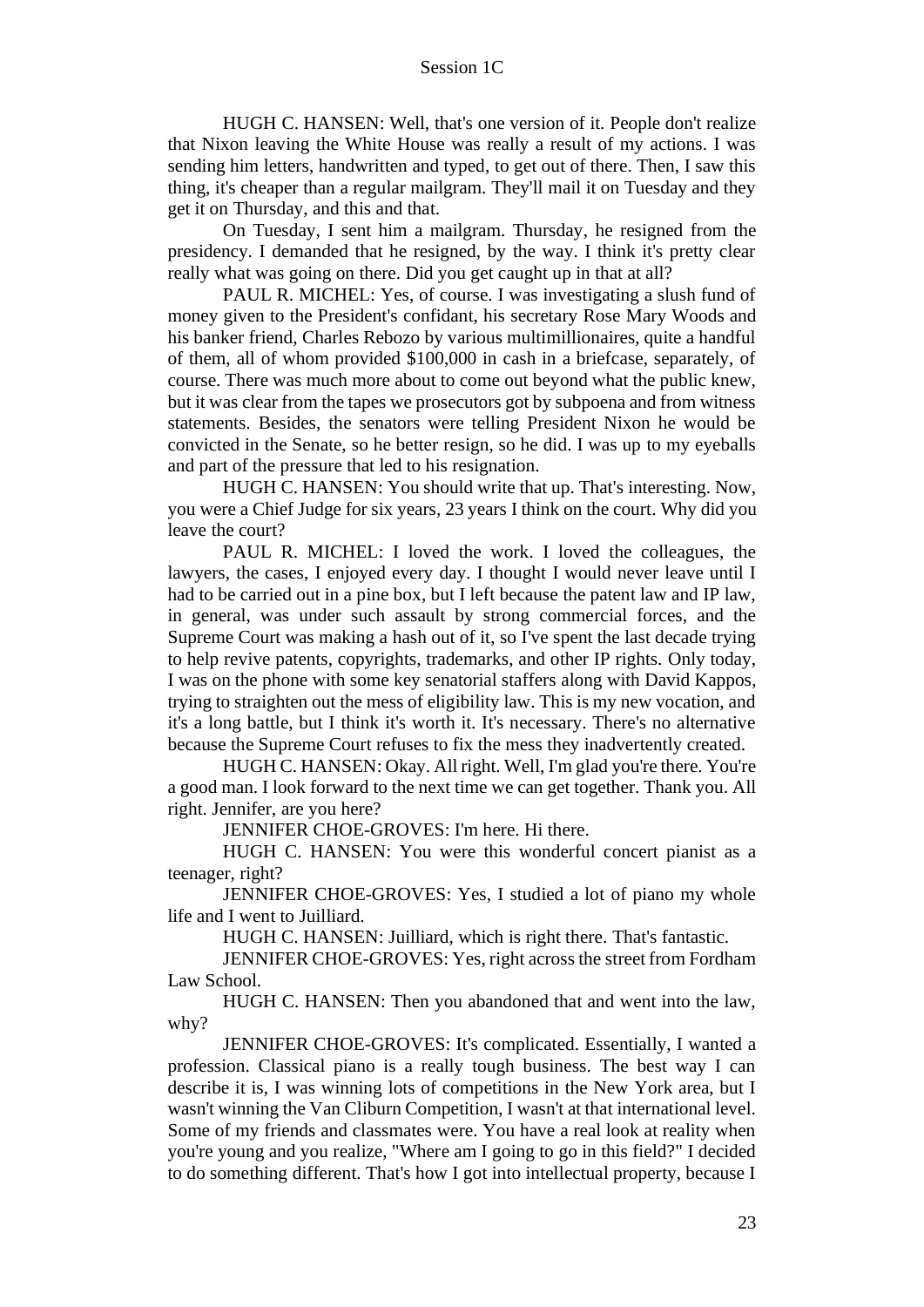HUGH C. HANSEN: Well, that's one version of it. People don't realize that Nixon leaving the White House was really a result of my actions. I was sending him letters, handwritten and typed, to get out of there. Then, I saw this thing, it's cheaper than a regular mailgram. They'll mail it on Tuesday and they get it on Thursday, and this and that.

On Tuesday, I sent him a mailgram. Thursday, he resigned from the presidency. I demanded that he resigned, by the way. I think it's pretty clear really what was going on there. Did you get caught up in that at all?

PAUL R. MICHEL: Yes, of course. I was investigating a slush fund of money given to the President's confidant, his secretary Rose Mary Woods and his banker friend, Charles Rebozo by various multimillionaires, quite a handful of them, all of whom provided \$100,000 in cash in a briefcase, separately, of course. There was much more about to come out beyond what the public knew, but it was clear from the tapes we prosecutors got by subpoena and from witness statements. Besides, the senators were telling President Nixon he would be convicted in the Senate, so he better resign, so he did. I was up to my eyeballs and part of the pressure that led to his resignation.

HUGH C. HANSEN: You should write that up. That's interesting. Now, you were a Chief Judge for six years, 23 years I think on the court. Why did you leave the court?

PAUL R. MICHEL: I loved the work. I loved the colleagues, the lawyers, the cases, I enjoyed every day. I thought I would never leave until I had to be carried out in a pine box, but I left because the patent law and IP law, in general, was under such assault by strong commercial forces, and the Supreme Court was making a hash out of it, so I've spent the last decade trying to help revive patents, copyrights, trademarks, and other IP rights. Only today, I was on the phone with some key senatorial staffers along with David Kappos, trying to straighten out the mess of eligibility law. This is my new vocation, and it's a long battle, but I think it's worth it. It's necessary. There's no alternative because the Supreme Court refuses to fix the mess they inadvertently created.

HUGH C. HANSEN: Okay. All right. Well, I'm glad you're there. You're a good man. I look forward to the next time we can get together. Thank you. All right. Jennifer, are you here?

JENNIFER CHOE-GROVES: I'm here. Hi there.

HUGH C. HANSEN: You were this wonderful concert pianist as a teenager, right?

JENNIFER CHOE-GROVES: Yes, I studied a lot of piano my whole life and I went to Juilliard.

HUGH C. HANSEN: Juilliard, which is right there. That's fantastic.

JENNIFER CHOE-GROVES: Yes, right across the street from Fordham Law School.

HUGH C. HANSEN: Then you abandoned that and went into the law, why?

JENNIFER CHOE-GROVES: It's complicated. Essentially, I wanted a profession. Classical piano is a really tough business. The best way I can describe it is, I was winning lots of competitions in the New York area, but I wasn't winning the Van Cliburn Competition, I wasn't at that international level. Some of my friends and classmates were. You have a real look at reality when you're young and you realize, "Where am I going to go in this field?" I decided to do something different. That's how I got into intellectual property, because I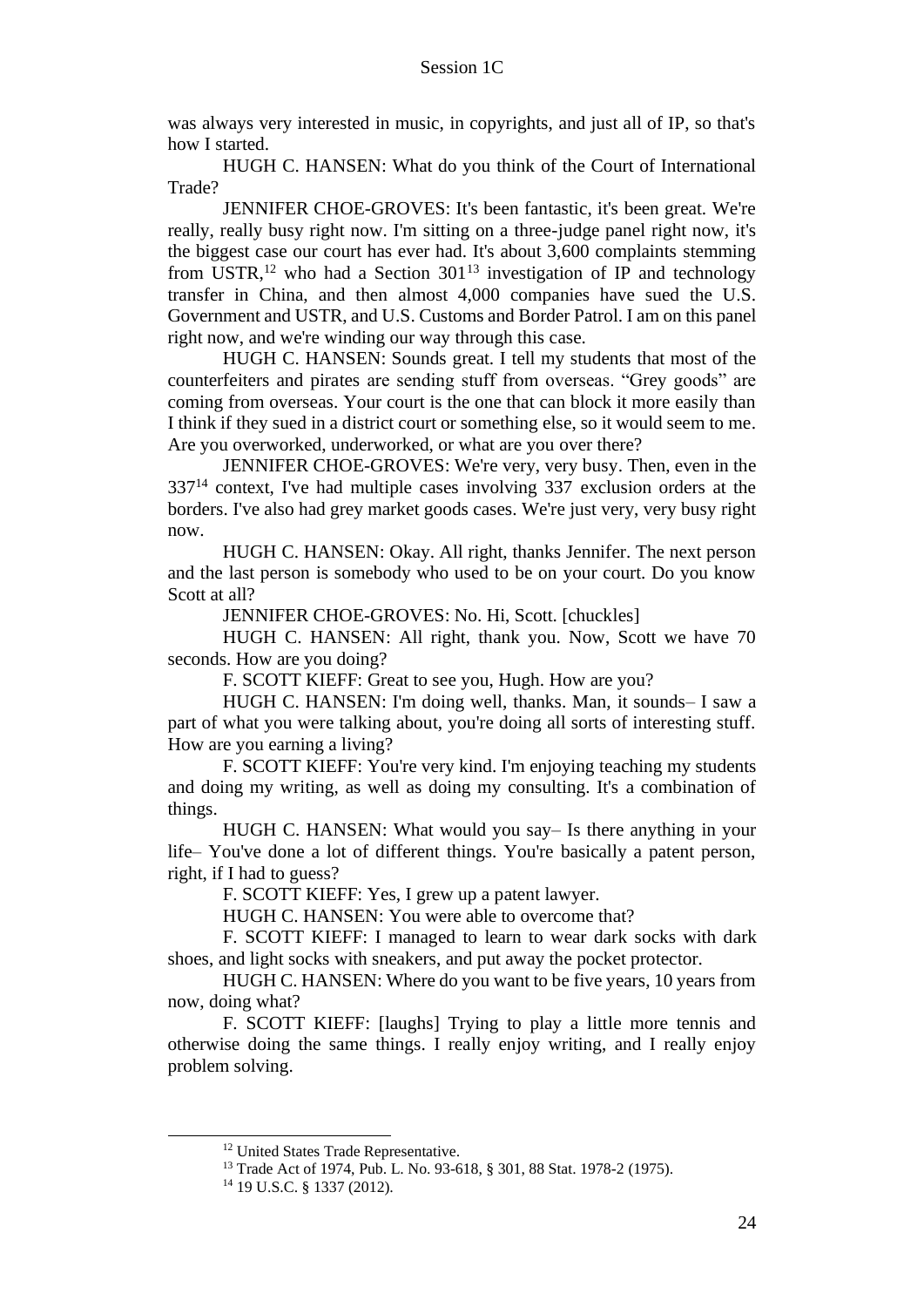was always very interested in music, in copyrights, and just all of IP, so that's how I started.

HUGH C. HANSEN: What do you think of the Court of International Trade?

JENNIFER CHOE-GROVES: It's been fantastic, it's been great. We're really, really busy right now. I'm sitting on a three-judge panel right now, it's the biggest case our court has ever had. It's about 3,600 complaints stemming from USTR,<sup>12</sup> who had a Section  $301^{13}$  investigation of IP and technology transfer in China, and then almost 4,000 companies have sued the U.S. Government and USTR, and U.S. Customs and Border Patrol. I am on this panel right now, and we're winding our way through this case.

HUGH C. HANSEN: Sounds great. I tell my students that most of the counterfeiters and pirates are sending stuff from overseas. "Grey goods" are coming from overseas. Your court is the one that can block it more easily than I think if they sued in a district court or something else, so it would seem to me. Are you overworked, underworked, or what are you over there?

JENNIFER CHOE-GROVES: We're very, very busy. Then, even in the 337<sup>14</sup> context, I've had multiple cases involving 337 exclusion orders at the borders. I've also had grey market goods cases. We're just very, very busy right now.

HUGH C. HANSEN: Okay. All right, thanks Jennifer. The next person and the last person is somebody who used to be on your court. Do you know Scott at all?

JENNIFER CHOE-GROVES: No. Hi, Scott. [chuckles]

HUGH C. HANSEN: All right, thank you. Now, Scott we have 70 seconds. How are you doing?

F. SCOTT KIEFF: Great to see you, Hugh. How are you?

HUGH C. HANSEN: I'm doing well, thanks. Man, it sounds– I saw a part of what you were talking about, you're doing all sorts of interesting stuff. How are you earning a living?

F. SCOTT KIEFF: You're very kind. I'm enjoying teaching my students and doing my writing, as well as doing my consulting. It's a combination of things.

HUGH C. HANSEN: What would you say– Is there anything in your life– You've done a lot of different things. You're basically a patent person, right, if I had to guess?

F. SCOTT KIEFF: Yes, I grew up a patent lawyer.

HUGH C. HANSEN: You were able to overcome that?

F. SCOTT KIEFF: I managed to learn to wear dark socks with dark shoes, and light socks with sneakers, and put away the pocket protector.

HUGH C. HANSEN: Where do you want to be five years, 10 years from now, doing what?

F. SCOTT KIEFF: [laughs] Trying to play a little more tennis and otherwise doing the same things. I really enjoy writing, and I really enjoy problem solving.

<sup>&</sup>lt;sup>12</sup> United States Trade Representative.

<sup>13</sup> Trade Act of 1974, Pub. L. No. 93-618, § 301, 88 Stat. 1978-2 (1975).

<sup>14</sup> 19 U.S.C. § 1337 (2012).